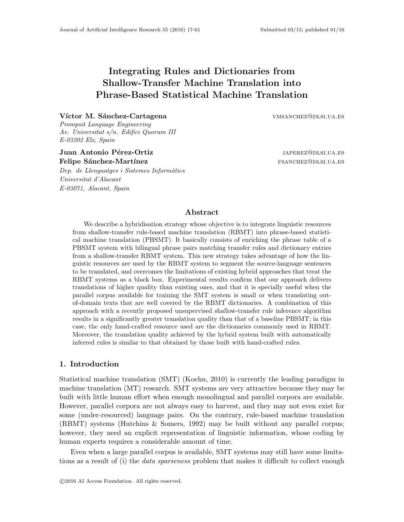# Integrating Rules and Dictionaries from Shallow-Transfer Machine Translation into Phrase-Based Statistical Machine Translation

# Víctor M. Sánchez-Cartagena vmsanchez@dlsi.ua.es

Prompsit Language Engineering Av. Universitat s/n. Edifici Quorum III E-03202 Elx, Spain

# Juan Antonio Pérez-Ortiz japones is a subsequent de la subsequence de la subsequence de la subsequence de la s Felipe Sánchez-Martínez fsanchezette franchez franchez fsanchez fsanchez fsanchez fsanchez fsanchez fsanchez fsanchez fsanchez fsanchez franchez fsanchez franchez franchez franchez franchez franchez franchez franchez franc

Dep. de Llenguatges i Sistemes Informàtics Universitat d'Alacant E-03071, Alacant, Spain

#### Abstract

We describe a hybridisation strategy whose objective is to integrate linguistic resources from shallow-transfer rule-based machine translation (RBMT) into phrase-based statistical machine translation (PBSMT). It basically consists of enriching the phrase table of a PBSMT system with bilingual phrase pairs matching transfer rules and dictionary entries from a shallow-transfer RBMT system. This new strategy takes advantage of how the linguistic resources are used by the RBMT system to segment the source-language sentences to be translated, and overcomes the limitations of existing hybrid approaches that treat the RBMT systems as a black box. Experimental results confirm that our approach delivers translations of higher quality than existing ones, and that it is specially useful when the parallel corpus available for training the SMT system is small or when translating outof-domain texts that are well covered by the RBMT dictionaries. A combination of this approach with a recently proposed unsupervised shallow-transfer rule inference algorithm results in a significantly greater translation quality than that of a baseline PBSMT; in this case, the only hand-crafted resource used are the dictionaries commonly used in RBMT. Moreover, the translation quality achieved by the hybrid system built with automatically inferred rules is similar to that obtained by those built with hand-crafted rules.

# 1. Introduction

Statistical machine translation (SMT) (Koehn, 2010) is currently the leading paradigm in machine translation (MT) research. SMT systems are very attractive because they may be built with little human effort when enough monolingual and parallel corpora are available. However, parallel corpora are not always easy to harvest, and they may not even exist for some (under-resourced) language pairs. On the contrary, rule-based machine translation (RBMT) systems (Hutchins & Somers, 1992) may be built without any parallel corpus; however, they need an explicit representation of linguistic information, whose coding by human experts requires a considerable amount of time.

Even when a large parallel corpus is available, SMT systems may still have some limitations as a result of (i) the *data sparseness* problem that makes it difficult to collect enough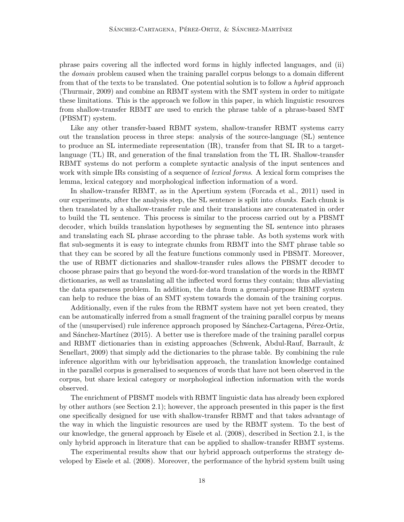phrase pairs covering all the inflected word forms in highly inflected languages, and (ii) the domain problem caused when the training parallel corpus belongs to a domain different from that of the texts to be translated. One potential solution is to follow a *hybrid* approach (Thurmair, 2009) and combine an RBMT system with the SMT system in order to mitigate these limitations. This is the approach we follow in this paper, in which linguistic resources from shallow-transfer RBMT are used to enrich the phrase table of a phrase-based SMT (PBSMT) system.

Like any other transfer-based RBMT system, shallow-transfer RBMT systems carry out the translation process in three steps: analysis of the source-language (SL) sentence to produce an SL intermediate representation (IR), transfer from that SL IR to a targetlanguage (TL) IR, and generation of the final translation from the TL IR. Shallow-transfer RBMT systems do not perform a complete syntactic analysis of the input sentences and work with simple IRs consisting of a sequence of *lexical forms*. A lexical form comprises the lemma, lexical category and morphological inflection information of a word.

In shallow-transfer RBMT, as in the Apertium system (Forcada et al., 2011) used in our experiments, after the analysis step, the SL sentence is split into chunks. Each chunk is then translated by a shallow-transfer rule and their translations are concatenated in order to build the TL sentence. This process is similar to the process carried out by a PBSMT decoder, which builds translation hypotheses by segmenting the SL sentence into phrases and translating each SL phrase according to the phrase table. As both systems work with flat sub-segments it is easy to integrate chunks from RBMT into the SMT phrase table so that they can be scored by all the feature functions commonly used in PBSMT. Moreover, the use of RBMT dictionaries and shallow-transfer rules allows the PBSMT decoder to choose phrase pairs that go beyond the word-for-word translation of the words in the RBMT dictionaries, as well as translating all the inflected word forms they contain; thus alleviating the data sparseness problem. In addition, the data from a general-purpose RBMT system can help to reduce the bias of an SMT system towards the domain of the training corpus.

Additionally, even if the rules from the RBMT system have not yet been created, they can be automatically inferred from a small fragment of the training parallel corpus by means of the (unsupervised) rule inference approach proposed by Sánchez-Cartagena, Pérez-Ortiz, and Sánchez-Martínez (2015). A better use is therefore made of the training parallel corpus and RBMT dictionaries than in existing approaches (Schwenk, Abdul-Rauf, Barrault, & Senellart, 2009) that simply add the dictionaries to the phrase table. By combining the rule inference algorithm with our hybridisation approach, the translation knowledge contained in the parallel corpus is generalised to sequences of words that have not been observed in the corpus, but share lexical category or morphological inflection information with the words observed.

The enrichment of PBSMT models with RBMT linguistic data has already been explored by other authors (see Section 2.1); however, the approach presented in this paper is the first one specifically designed for use with shallow-transfer RBMT and that takes advantage of the way in which the linguistic resources are used by the RBMT system. To the best of our knowledge, the general approach by Eisele et al. (2008), described in Section 2.1, is the only hybrid approach in literature that can be applied to shallow-transfer RBMT systems.

The experimental results show that our hybrid approach outperforms the strategy developed by Eisele et al. (2008). Moreover, the performance of the hybrid system built using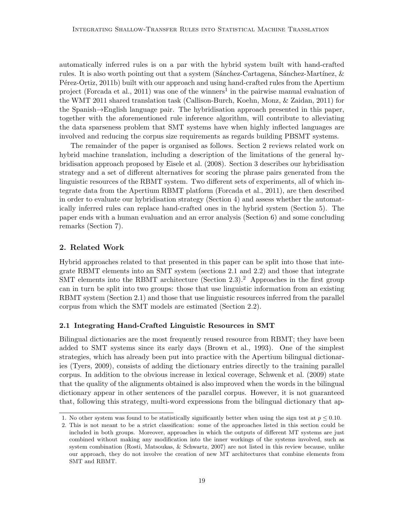automatically inferred rules is on a par with the hybrid system built with hand-crafted rules. It is also worth pointing out that a system (Sánchez-Cartagena, Sánchez-Martínez,  $\&$ P<sup>erez</sup>-Ortiz, 2011b) built with our approach and using hand-crafted rules from the Apertium project (Forcada et al., 2011) was one of the winners<sup>1</sup> in the pairwise manual evaluation of the WMT 2011 shared translation task (Callison-Burch, Koehn, Monz, & Zaidan, 2011) for the Spanish→English language pair. The hybridisation approach presented in this paper, together with the aforementioned rule inference algorithm, will contribute to alleviating the data sparseness problem that SMT systems have when highly inflected languages are involved and reducing the corpus size requirements as regards building PBSMT systems.

The remainder of the paper is organised as follows. Section 2 reviews related work on hybrid machine translation, including a description of the limitations of the general hybridisation approach proposed by Eisele et al. (2008). Section 3 describes our hybridisation strategy and a set of different alternatives for scoring the phrase pairs generated from the linguistic resources of the RBMT system. Two different sets of experiments, all of which integrate data from the Apertium RBMT platform (Forcada et al., 2011), are then described in order to evaluate our hybridisation strategy (Section 4) and assess whether the automatically inferred rules can replace hand-crafted ones in the hybrid system (Section 5). The paper ends with a human evaluation and an error analysis (Section 6) and some concluding remarks (Section 7).

# 2. Related Work

Hybrid approaches related to that presented in this paper can be split into those that integrate RBMT elements into an SMT system (sections 2.1 and 2.2) and those that integrate SMT elements into the RBMT architecture (Section  $2.3$ ).<sup>2</sup> Approaches in the first group can in turn be split into two groups: those that use linguistic information from an existing RBMT system (Section 2.1) and those that use linguistic resources inferred from the parallel corpus from which the SMT models are estimated (Section 2.2).

# 2.1 Integrating Hand-Crafted Linguistic Resources in SMT

Bilingual dictionaries are the most frequently reused resource from RBMT; they have been added to SMT systems since its early days (Brown et al., 1993). One of the simplest strategies, which has already been put into practice with the Apertium bilingual dictionaries (Tyers, 2009), consists of adding the dictionary entries directly to the training parallel corpus. In addition to the obvious increase in lexical coverage, Schwenk et al. (2009) state that the quality of the alignments obtained is also improved when the words in the bilingual dictionary appear in other sentences of the parallel corpus. However, it is not guaranteed that, following this strategy, multi-word expressions from the bilingual dictionary that ap-

<sup>1.</sup> No other system was found to be statistically significantly better when using the sign test at  $p \le 0.10$ .

<sup>2.</sup> This is not meant to be a strict classification: some of the approaches listed in this section could be included in both groups. Moreover, approaches in which the outputs of different MT systems are just combined without making any modification into the inner workings of the systems involved, such as system combination (Rosti, Matsoukas, & Schwartz, 2007) are not listed in this review because, unlike our approach, they do not involve the creation of new MT architectures that combine elements from SMT and RBMT.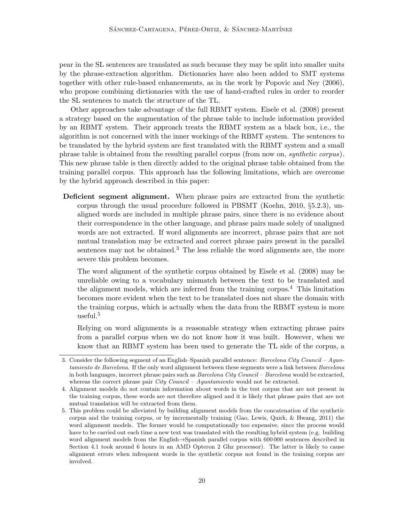pear in the SL sentences are translated as such because they may be split into smaller units by the phrase-extraction algorithm. Dictionaries have also been added to SMT systems together with other rule-based enhancements, as in the work by Popovic and Ney (2006), who propose combining dictionaries with the use of hand-crafted rules in order to reorder the SL sentences to match the structure of the TL.

Other approaches take advantage of the full RBMT system. Eisele et al. (2008) present a strategy based on the augmentation of the phrase table to include information provided by an RBMT system. Their approach treats the RBMT system as a black box, i.e., the algorithm is not concerned with the inner workings of the RBMT system. The sentences to be translated by the hybrid system are first translated with the RBMT system and a small phrase table is obtained from the resulting parallel corpus (from now on, synthetic corpus). This new phrase table is then directly added to the original phrase table obtained from the training parallel corpus. This approach has the following limitations, which are overcome by the hybrid approach described in this paper:

Deficient segment alignment. When phrase pairs are extracted from the synthetic corpus through the usual procedure followed in PBSMT (Koehn, 2010,  $\S 5.2.3$ ), unaligned words are included in multiple phrase pairs, since there is no evidence about their correspondence in the other language, and phrase pairs made solely of unaligned words are not extracted. If word alignments are incorrect, phrase pairs that are not mutual translation may be extracted and correct phrase pairs present in the parallel sentences may not be obtained. $3$  The less reliable the word alignments are, the more severe this problem becomes.

The word alignment of the synthetic corpus obtained by Eisele et al. (2008) may be unreliable owing to a vocabulary mismatch between the text to be translated and the alignment models, which are inferred from the training corpus.<sup>4</sup> This limitation becomes more evident when the text to be translated does not share the domain with the training corpus, which is actually when the data from the RBMT system is more useful.<sup>5</sup>

Relying on word alignments is a reasonable strategy when extracting phrase pairs from a parallel corpus when we do not know how it was built. However, when we know that an RBMT system has been used to generate the TL side of the corpus, a

<sup>3.</sup> Consider the following segment of an English–Spanish parallel sentence: Barcelona City Council – Ayuntamiento de Barcelona. If the only word alignment between these segments were a link between Barcelona in both languages, incorrect phrase pairs such as  $Barcelona City Council - Barcelona$  would be extracted, whereas the correct phrase pair  $City$  Council – Ayuntamiento would not be extracted.

<sup>4.</sup> Alignment models do not contain information about words in the test corpus that are not present in the training corpus, these words are not therefore aligned and it is likely that phrase pairs that are not mutual translation will be extracted from them.

<sup>5.</sup> This problem could be alleviated by building alignment models from the concatenation of the synthetic corpus and the training corpus, or by incrementally training (Gao, Lewis, Quirk, & Hwang, 2011) the word alignment models. The former would be computationally too expensive, since the process would have to be carried out each time a new text was translated with the resulting hybrid system (e.g. building word alignment models from the English→Spanish parallel corpus with 600 000 sentences described in Section 4.1 took around 6 hours in an AMD Opteron 2 Ghz processor). The latter is likely to cause alignment errors when infrequent words in the synthetic corpus not found in the training corpus are involved.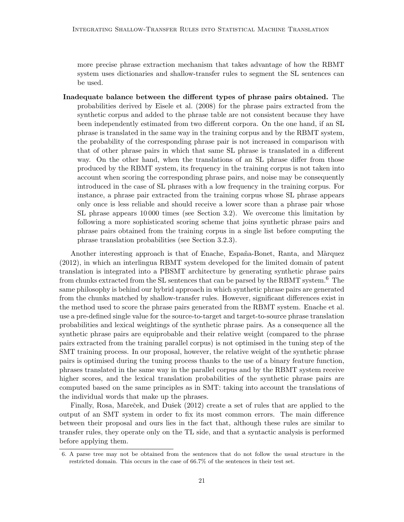more precise phrase extraction mechanism that takes advantage of how the RBMT system uses dictionaries and shallow-transfer rules to segment the SL sentences can be used.

Inadequate balance between the different types of phrase pairs obtained. The probabilities derived by Eisele et al. (2008) for the phrase pairs extracted from the synthetic corpus and added to the phrase table are not consistent because they have been independently estimated from two different corpora. On the one hand, if an SL phrase is translated in the same way in the training corpus and by the RBMT system, the probability of the corresponding phrase pair is not increased in comparison with that of other phrase pairs in which that same SL phrase is translated in a different way. On the other hand, when the translations of an SL phrase differ from those produced by the RBMT system, its frequency in the training corpus is not taken into account when scoring the corresponding phrase pairs, and noise may be consequently introduced in the case of SL phrases with a low frequency in the training corpus. For instance, a phrase pair extracted from the training corpus whose SL phrase appears only once is less reliable and should receive a lower score than a phrase pair whose SL phrase appears 10 000 times (see Section 3.2). We overcome this limitation by following a more sophisticated scoring scheme that joins synthetic phrase pairs and phrase pairs obtained from the training corpus in a single list before computing the phrase translation probabilities (see Section 3.2.3).

Another interesting approach is that of Enache, España-Bonet, Ranta, and Màrquez (2012), in which an interlingua RBMT system developed for the limited domain of patent translation is integrated into a PBSMT architecture by generating synthetic phrase pairs from chunks extracted from the SL sentences that can be parsed by the RBMT system.<sup>6</sup> The same philosophy is behind our hybrid approach in which synthetic phrase pairs are generated from the chunks matched by shallow-transfer rules. However, significant differences exist in the method used to score the phrase pairs generated from the RBMT system. Enache et al. use a pre-defined single value for the source-to-target and target-to-source phrase translation probabilities and lexical weightings of the synthetic phrase pairs. As a consequence all the synthetic phrase pairs are equiprobable and their relative weight (compared to the phrase pairs extracted from the training parallel corpus) is not optimised in the tuning step of the SMT training process. In our proposal, however, the relative weight of the synthetic phrase pairs is optimised during the tuning process thanks to the use of a binary feature function, phrases translated in the same way in the parallel corpus and by the RBMT system receive higher scores, and the lexical translation probabilities of the synthetic phrase pairs are computed based on the same principles as in SMT: taking into account the translations of the individual words that make up the phrases.

Finally, Rosa, Mareček, and Dušek (2012) create a set of rules that are applied to the output of an SMT system in order to fix its most common errors. The main difference between their proposal and ours lies in the fact that, although these rules are similar to transfer rules, they operate only on the TL side, and that a syntactic analysis is performed before applying them.

<sup>6.</sup> A parse tree may not be obtained from the sentences that do not follow the usual structure in the restricted domain. This occurs in the case of 66.7% of the sentences in their test set.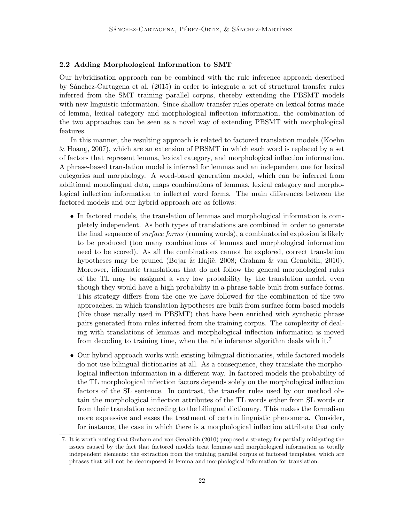# 2.2 Adding Morphological Information to SMT

Our hybridisation approach can be combined with the rule inference approach described by S´anchez-Cartagena et al. (2015) in order to integrate a set of structural transfer rules inferred from the SMT training parallel corpus, thereby extending the PBSMT models with new linguistic information. Since shallow-transfer rules operate on lexical forms made of lemma, lexical category and morphological inflection information, the combination of the two approaches can be seen as a novel way of extending PBSMT with morphological features.

In this manner, the resulting approach is related to factored translation models (Koehn & Hoang, 2007), which are an extension of PBSMT in which each word is replaced by a set of factors that represent lemma, lexical category, and morphological inflection information. A phrase-based translation model is inferred for lemmas and an independent one for lexical categories and morphology. A word-based generation model, which can be inferred from additional monolingual data, maps combinations of lemmas, lexical category and morphological inflection information to inflected word forms. The main differences between the factored models and our hybrid approach are as follows:

- In factored models, the translation of lemmas and morphological information is completely independent. As both types of translations are combined in order to generate the final sequence of surface forms (running words), a combinatorial explosion is likely to be produced (too many combinations of lemmas and morphological information need to be scored). As all the combinations cannot be explored, correct translation hypotheses may be pruned (Bojar & Hajič, 2008; Graham & van Genabith, 2010). Moreover, idiomatic translations that do not follow the general morphological rules of the TL may be assigned a very low probability by the translation model, even though they would have a high probability in a phrase table built from surface forms. This strategy differs from the one we have followed for the combination of the two approaches, in which translation hypotheses are built from surface-form-based models (like those usually used in PBSMT) that have been enriched with synthetic phrase pairs generated from rules inferred from the training corpus. The complexity of dealing with translations of lemmas and morphological inflection information is moved from decoding to training time, when the rule inference algorithm deals with it.<sup>7</sup>
- Our hybrid approach works with existing bilingual dictionaries, while factored models do not use bilingual dictionaries at all. As a consequence, they translate the morphological inflection information in a different way. In factored models the probability of the TL morphological inflection factors depends solely on the morphological inflection factors of the SL sentence. In contrast, the transfer rules used by our method obtain the morphological inflection attributes of the TL words either from SL words or from their translation according to the bilingual dictionary. This makes the formalism more expressive and eases the treatment of certain linguistic phenomena. Consider, for instance, the case in which there is a morphological inflection attribute that only

<sup>7.</sup> It is worth noting that Graham and van Genabith (2010) proposed a strategy for partially mitigating the issues caused by the fact that factored models treat lemmas and morphological information as totally independent elements: the extraction from the training parallel corpus of factored templates, which are phrases that will not be decomposed in lemma and morphological information for translation.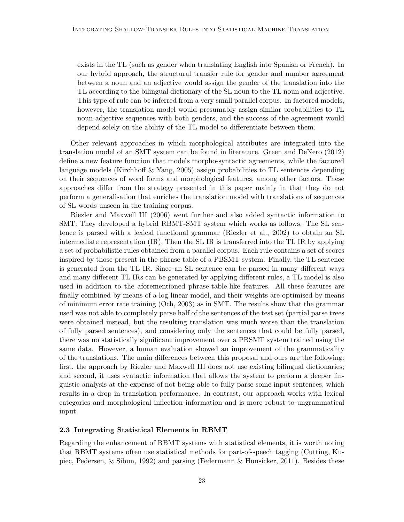exists in the TL (such as gender when translating English into Spanish or French). In our hybrid approach, the structural transfer rule for gender and number agreement between a noun and an adjective would assign the gender of the translation into the TL according to the bilingual dictionary of the SL noun to the TL noun and adjective. This type of rule can be inferred from a very small parallel corpus. In factored models, however, the translation model would presumably assign similar probabilities to TL noun-adjective sequences with both genders, and the success of the agreement would depend solely on the ability of the TL model to differentiate between them.

Other relevant approaches in which morphological attributes are integrated into the translation model of an SMT system can be found in literature. Green and DeNero (2012) define a new feature function that models morpho-syntactic agreements, while the factored language models (Kirchhoff & Yang, 2005) assign probabilities to TL sentences depending on their sequences of word forms and morphological features, among other factors. These approaches differ from the strategy presented in this paper mainly in that they do not perform a generalisation that enriches the translation model with translations of sequences of SL words unseen in the training corpus.

Riezler and Maxwell III (2006) went further and also added syntactic information to SMT. They developed a hybrid RBMT-SMT system which works as follows. The SL sentence is parsed with a lexical functional grammar (Riezler et al., 2002) to obtain an SL intermediate representation (IR). Then the SL IR is transferred into the TL IR by applying a set of probabilistic rules obtained from a parallel corpus. Each rule contains a set of scores inspired by those present in the phrase table of a PBSMT system. Finally, the TL sentence is generated from the TL IR. Since an SL sentence can be parsed in many different ways and many different TL IRs can be generated by applying different rules, a TL model is also used in addition to the aforementioned phrase-table-like features. All these features are finally combined by means of a log-linear model, and their weights are optimised by means of minimum error rate training (Och, 2003) as in SMT. The results show that the grammar used was not able to completely parse half of the sentences of the test set (partial parse trees were obtained instead, but the resulting translation was much worse than the translation of fully parsed sentences), and considering only the sentences that could be fully parsed, there was no statistically significant improvement over a PBSMT system trained using the same data. However, a human evaluation showed an improvement of the grammaticality of the translations. The main differences between this proposal and ours are the following: first, the approach by Riezler and Maxwell III does not use existing bilingual dictionaries; and second, it uses syntactic information that allows the system to perform a deeper linguistic analysis at the expense of not being able to fully parse some input sentences, which results in a drop in translation performance. In contrast, our approach works with lexical categories and morphological inflection information and is more robust to ungrammatical input.

#### 2.3 Integrating Statistical Elements in RBMT

Regarding the enhancement of RBMT systems with statistical elements, it is worth noting that RBMT systems often use statistical methods for part-of-speech tagging (Cutting, Kupiec, Pedersen, & Sibun, 1992) and parsing (Federmann & Hunsicker, 2011). Besides these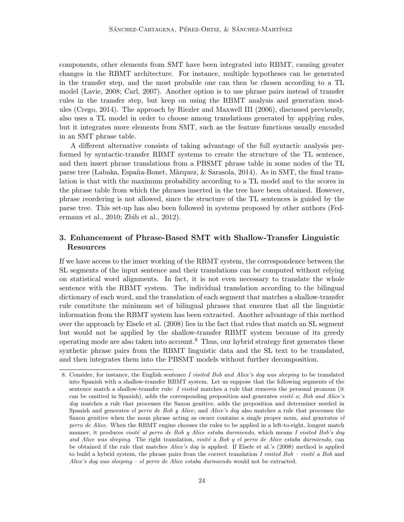components, other elements from SMT have been integrated into RBMT, causing greater changes in the RBMT architecture. For instance, multiple hypotheses can be generated in the transfer step, and the most probable one can then be chosen according to a TL model (Lavie, 2008; Carl, 2007). Another option is to use phrase pairs instead of transfer rules in the transfer step, but keep on using the RBMT analysis and generation modules (Crego, 2014). The approach by Riezler and Maxwell III (2006), discussed previously, also uses a TL model in order to choose among translations generated by applying rules, but it integrates more elements from SMT, such as the feature functions usually encoded in an SMT phrase table.

A different alternative consists of taking advantage of the full syntactic analysis performed by syntactic-transfer RBMT systems to create the structure of the TL sentence, and then insert phrase translations from a PBSMT phrase table in some nodes of the TL parse tree (Labaka, España-Bonet, Màrquez,  $\&$  Sarasola, 2014). As in SMT, the final translation is that with the maximum probability according to a TL model and to the scores in the phrase table from which the phrases inserted in the tree have been obtained. However, phrase reordering is not allowed, since the structure of the TL sentences is guided by the parse tree. This set-up has also been followed in systems proposed by other authors (Federmann et al., 2010; Zbib et al., 2012).

# 3. Enhancement of Phrase-Based SMT with Shallow-Transfer Linguistic Resources

If we have access to the inner working of the RBMT system, the correspondence between the SL segments of the input sentence and their translations can be computed without relying on statistical word alignments. In fact, it is not even necessary to translate the whole sentence with the RBMT system. The individual translation according to the bilingual dictionary of each word, and the translation of each segment that matches a shallow-transfer rule constitute the minimum set of bilingual phrases that ensures that all the linguistic information from the RBMT system has been extracted. Another advantage of this method over the approach by Eisele et al. (2008) lies in the fact that rules that match an SL segment but would not be applied by the shallow-transfer RBMT system because of its greedy operating mode are also taken into account.<sup>8</sup> Thus, our hybrid strategy first generates these synthetic phrase pairs from the RBMT linguistic data and the SL text to be translated, and then integrates them into the PBSMT models without further decomposition.

<sup>8.</sup> Consider, for instance, the English sentence I visited Bob and Alice's dog was sleeping to be translated into Spanish with a shallow-transfer RBMT system. Let us suppose that the following segments of the sentence match a shallow-transfer rule: I visited matches a rule that removes the personal pronoun (it can be omitted in Spanish), adds the corresponding preposition and generates visité  $a$ ; Bob and Alice's dog matches a rule that processes the Saxon genitive, adds the preposition and determiner needed in Spanish and generates el perro de Bob y Alice; and Alice's dog also matches a rule that processes the Saxon genitive when the noun phrase acting as owner contains a single proper noun, and generates el perro de Alice. When the RBMT engine chooses the rules to be applied in a left-to-right, longest match manner, it produces visité al perro de Bob y Alice estaba durmiendo, which means I visited Bob's dog and Alice was sleeping. The right translation, visité a Bob y el perro de Alice estaba durmiendo, can be obtained if the rule that matches Alice's dog is applied. If Eisele et al.'s (2008) method is applied to build a hybrid system, the phrase pairs from the correct translation I visited Bob – visite a Bob and Alice's dog was sleeping – el perro de Alice estaba durmiendo would not be extracted.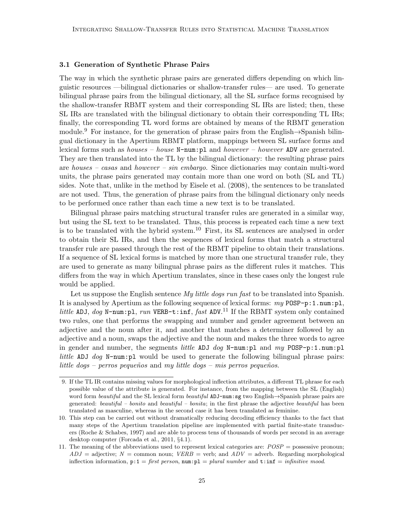#### 3.1 Generation of Synthetic Phrase Pairs

The way in which the synthetic phrase pairs are generated differs depending on which linguistic resources —bilingual dictionaries or shallow-transfer rules— are used. To generate bilingual phrase pairs from the bilingual dictionary, all the SL surface forms recognised by the shallow-transfer RBMT system and their corresponding SL IRs are listed; then, these SL IRs are translated with the bilingual dictionary to obtain their corresponding TL IRs; finally, the corresponding TL word forms are obtained by means of the RBMT generation module.<sup>9</sup> For instance, for the generation of phrase pairs from the English→Spanish bilingual dictionary in the Apertium RBMT platform, mappings between SL surface forms and lexical forms such as *houses – house*  $N$ -num: pl and *however – however* ADV are generated. They are then translated into the TL by the bilingual dictionary: the resulting phrase pairs are houses – casas and however – sin embargo. Since dictionaries may contain multi-word units, the phrase pairs generated may contain more than one word on both (SL and TL) sides. Note that, unlike in the method by Eisele et al. (2008), the sentences to be translated are not used. Thus, the generation of phrase pairs from the bilingual dictionary only needs to be performed once rather than each time a new text is to be translated.

Bilingual phrase pairs matching structural transfer rules are generated in a similar way, but using the SL text to be translated. Thus, this process is repeated each time a new text is to be translated with the hybrid system.<sup>10</sup> First, its SL sentences are analysed in order to obtain their SL IRs, and then the sequences of lexical forms that match a structural transfer rule are passed through the rest of the RBMT pipeline to obtain their translations. If a sequence of SL lexical forms is matched by more than one structural transfer rule, they are used to generate as many bilingual phrase pairs as the different rules it matches. This differs from the way in which Apertium translates, since in these cases only the longest rule would be applied.

Let us suppose the English sentence *My little dogs run fast* to be translated into Spanish. It is analysed by Apertium as the following sequence of lexical forms:  $my$  POSP-p:1.num:pl, little ADJ, dog N-num: pl, run VERB-t: inf, fast ADV.<sup>11</sup> If the RBMT system only contained two rules, one that performs the swapping and number and gender agreement between an adjective and the noun after it, and another that matches a determiner followed by an adjective and a noun, swaps the adjective and the noun and makes the three words to agree in gender and number, the segments *little* ADJ dog N-num:pl and  $my$  POSP-p:1.num:pl little ADJ dog N-num:pl would be used to generate the following bilingual phrase pairs: little dogs – perros pequeños and my little dogs – mis perros pequeños.

<sup>9.</sup> If the TL IR contains missing values for morphological inflection attributes, a different TL phrase for each possible value of the attribute is generated. For instance, from the mapping between the SL (English) word form *beautiful* and the SL lexical form *beautiful* ADJ-num:sg two English→Spanish phrase pairs are generated: beautiful – bonito and beautiful – bonita; in the first phrase the adjective beautiful has been translated as masculine, whereas in the second case it has been translated as feminine.

<sup>10.</sup> This step can be carried out without dramatically reducing decoding efficiency thanks to the fact that many steps of the Apertium translation pipeline are implemented with partial finite-state transducers (Roche & Schabes, 1997) and are able to process tens of thousands of words per second in an average desktop computer (Forcada et al., 2011, §4.1).

<sup>11.</sup> The meaning of the abbreviations used to represent lexical categories are:  $POSP =$  possessive pronoun;  $ADJ =$  adjective;  $N =$  common noun;  $VERB =$  verb; and  $ADV =$  adverb. Regarding morphological inflection information,  $p:1 = first \text{ } person$ ,  $num:p1 = plural \text{ } number \text{ } and \text{ } t:inf = infinite \text{ } mood.$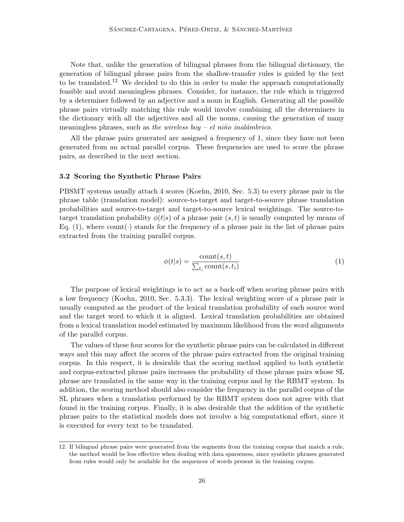Note that, unlike the generation of bilingual phrases from the bilingual dictionary, the generation of bilingual phrase pairs from the shallow-transfer rules is guided by the text to be translated.<sup>12</sup> We decided to do this in order to make the approach computationally feasible and avoid meaningless phrases. Consider, for instance, the rule which is triggered by a determiner followed by an adjective and a noun in English. Generating all the possible phrase pairs virtually matching this rule would involve combining all the determiners in the dictionary with all the adjectives and all the nouns, causing the generation of many meaningless phrases, such as the wireless boy – el niño inalámbrico.

All the phrase pairs generated are assigned a frequency of 1, since they have not been generated from an actual parallel corpus. These frequencies are used to score the phrase pairs, as described in the next section.

#### 3.2 Scoring the Synthetic Phrase Pairs

PBSMT systems usually attach 4 scores (Koehn, 2010, Sec. 5.3) to every phrase pair in the phrase table (translation model): source-to-target and target-to-source phrase translation probabilities and source-to-target and target-to-source lexical weightings. The source-totarget translation probability  $\phi(t|s)$  of a phrase pair  $(s, t)$  is usually computed by means of Eq. (1), where count  $\cdot$  stands for the frequency of a phrase pair in the list of phrase pairs extracted from the training parallel corpus.

$$
\phi(t|s) = \frac{\text{count}(s, t)}{\sum_{t_i} \text{count}(s, t_i)}\tag{1}
$$

The purpose of lexical weightings is to act as a back-off when scoring phrase pairs with a low frequency (Koehn, 2010, Sec. 5.3.3). The lexical weighting score of a phrase pair is usually computed as the product of the lexical translation probability of each source word and the target word to which it is aligned. Lexical translation probabilities are obtained from a lexical translation model estimated by maximum likelihood from the word alignments of the parallel corpus.

The values of these four scores for the synthetic phrase pairs can be calculated in different ways and this may affect the scores of the phrase pairs extracted from the original training corpus. In this respect, it is desirable that the scoring method applied to both synthetic and corpus-extracted phrase pairs increases the probability of those phrase pairs whose SL phrase are translated in the same way in the training corpus and by the RBMT system. In addition, the scoring method should also consider the frequency in the parallel corpus of the SL phrases when a translation performed by the RBMT system does not agree with that found in the training corpus. Finally, it is also desirable that the addition of the synthetic phrase pairs to the statistical models does not involve a big computational effort, since it is executed for every text to be translated.

<sup>12.</sup> If bilingual phrase pairs were generated from the segments from the training corpus that match a rule, the method would be less effective when dealing with data sparseness, since synthetic phrases generated from rules would only be available for the sequences of words present in the training corpus.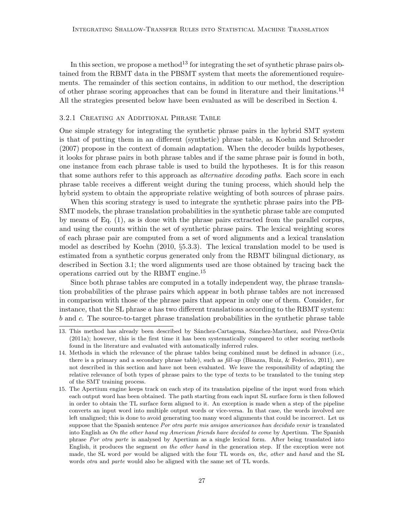In this section, we propose a method<sup>13</sup> for integrating the set of synthetic phrase pairs obtained from the RBMT data in the PBSMT system that meets the aforementioned requirements. The remainder of this section contains, in addition to our method, the description of other phrase scoring approaches that can be found in literature and their limitations.<sup>14</sup> All the strategies presented below have been evaluated as will be described in Section 4.

#### 3.2.1 Creating an Additional Phrase Table

One simple strategy for integrating the synthetic phrase pairs in the hybrid SMT system is that of putting them in an different (synthetic) phrase table, as Koehn and Schroeder (2007) propose in the context of domain adaptation. When the decoder builds hypotheses, it looks for phrase pairs in both phrase tables and if the same phrase pair is found in both, one instance from each phrase table is used to build the hypotheses. It is for this reason that some authors refer to this approach as *alternative decoding paths*. Each score in each phrase table receives a different weight during the tuning process, which should help the hybrid system to obtain the appropriate relative weighting of both sources of phrase pairs.

When this scoring strategy is used to integrate the synthetic phrase pairs into the PB-SMT models, the phrase translation probabilities in the synthetic phrase table are computed by means of Eq. (1), as is done with the phrase pairs extracted from the parallel corpus, and using the counts within the set of synthetic phrase pairs. The lexical weighting scores of each phrase pair are computed from a set of word alignments and a lexical translation model as described by Koehn (2010, §5.3.3). The lexical translation model to be used is estimated from a synthetic corpus generated only from the RBMT bilingual dictionary, as described in Section 3.1; the word alignments used are those obtained by tracing back the operations carried out by the RBMT engine.<sup>15</sup>

Since both phrase tables are computed in a totally independent way, the phrase translation probabilities of the phrase pairs which appear in both phrase tables are not increased in comparison with those of the phrase pairs that appear in only one of them. Consider, for instance, that the SL phrase  $a$  has two different translations according to the RBMT system: b and c. The source-to-target phrase translation probabilities in the synthetic phrase table

<sup>13.</sup> This method has already been described by Sánchez-Cartagena, Sánchez-Martínez, and Pérez-Ortiz (2011a); however, this is the first time it has been systematically compared to other scoring methods found in the literature and evaluated with automatically inferred rules.

<sup>14.</sup> Methods in which the relevance of the phrase tables being combined must be defined in advance (i.e., there is a primary and a secondary phrase table), such as fill-up (Bisazza, Ruiz, & Federico, 2011), are not described in this section and have not been evaluated. We leave the responsibility of adapting the relative relevance of both types of phrase pairs to the type of texts to be translated to the tuning step of the SMT training process.

<sup>15.</sup> The Apertium engine keeps track on each step of its translation pipeline of the input word from which each output word has been obtained. The path starting from each input SL surface form is then followed in order to obtain the TL surface form aligned to it. An exception is made when a step of the pipeline converts an input word into multiple output words or vice-versa. In that case, the words involved are left unaligned; this is done to avoid generating too many word alignments that could be incorrect. Let us suppose that the Spanish sentence Por otra parte mis amigos americanos han decidido venir is translated into English as On the other hand my American friends have decided to come by Apertium. The Spanish phrase Por otra parte is analysed by Apertium as a single lexical form. After being translated into English, it produces the segment on the other hand in the generation step. If the exception were not made, the SL word por would be aligned with the four TL words on, the, other and hand and the SL words otra and parte would also be aligned with the same set of TL words.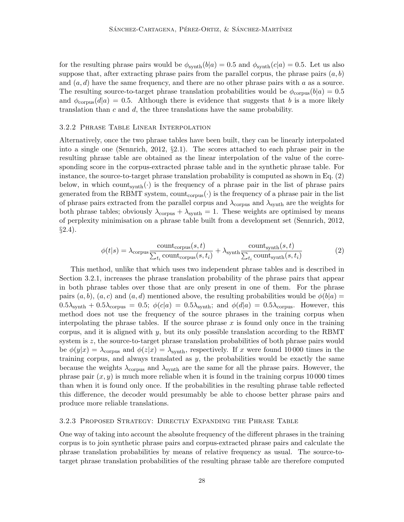for the resulting phrase pairs would be  $\phi_{\text{synth}}(b|a) = 0.5$  and  $\phi_{\text{synth}}(c|a) = 0.5$ . Let us also suppose that, after extracting phrase pairs from the parallel corpus, the phrase pairs  $(a, b)$ and  $(a, d)$  have the same frequency, and there are no other phrase pairs with a as a source. The resulting source-to-target phrase translation probabilities would be  $\phi_{\text{corpus}}(b|a) = 0.5$ and  $\phi_{\text{corpus}}(d|a) = 0.5$ . Although there is evidence that suggests that b is a more likely translation than  $c$  and  $d$ , the three translations have the same probability.

#### 3.2.2 Phrase Table Linear Interpolation

Alternatively, once the two phrase tables have been built, they can be linearly interpolated into a single one (Sennrich, 2012, §2.1). The scores attached to each phrase pair in the resulting phrase table are obtained as the linear interpolation of the value of the corresponding score in the corpus-extracted phrase table and in the synthetic phrase table. For instance, the source-to-target phrase translation probability is computed as shown in Eq. (2) below, in which count<sub>synth</sub> $(\cdot)$  is the frequency of a phrase pair in the list of phrase pairs generated from the RBMT system, count<sub>corpus</sub>( $\cdot$ ) is the frequency of a phrase pair in the list of phrase pairs extracted from the parallel corpus and  $\lambda_{\text{corpus}}$  and  $\lambda_{\text{synth}}$  are the weights for both phrase tables; obviously  $\lambda_{\text{corpus}} + \lambda_{\text{synth}} = 1$ . These weights are optimised by means of perplexity minimisation on a phrase table built from a development set (Sennrich, 2012,  $\S 2.4$ ).

$$
\phi(t|s) = \lambda_{\text{corpus}} \frac{\text{count}_{\text{corpus}}(s, t)}{\sum_{t_i} \text{count}_{\text{corpus}}(s, t_i)} + \lambda_{\text{synth}} \frac{\text{count}_{\text{synth}}(s, t)}{\sum_{t_i} \text{count}_{\text{synth}}(s, t_i)}
$$
(2)

This method, unlike that which uses two independent phrase tables and is described in Section 3.2.1, increases the phrase translation probability of the phrase pairs that appear in both phrase tables over those that are only present in one of them. For the phrase pairs  $(a, b)$ ,  $(a, c)$  and  $(a, d)$  mentioned above, the resulting probabilities would be  $\phi(b|a)$  $0.5\lambda_{\text{synth}} + 0.5\lambda_{\text{corpus}} = 0.5$ ;  $\phi(c|a) = 0.5\lambda_{\text{synth}}$ ; and  $\phi(d|a) = 0.5\lambda_{\text{corpus}}$ . However, this method does not use the frequency of the source phrases in the training corpus when interpolating the phrase tables. If the source phrase x is found only once in the training corpus, and it is aligned with  $y$ , but its only possible translation according to the RBMT system is z, the source-to-target phrase translation probabilities of both phrase pairs would be  $\phi(y|x) = \lambda_{\text{corpus}}$  and  $\phi(z|x) = \lambda_{\text{synth}}$ , respectively. If x were found 10000 times in the training corpus, and always translated as  $y$ , the probabilities would be exactly the same because the weights  $\lambda_{\text{corpus}}$  and  $\lambda_{\text{synth}}$  are the same for all the phrase pairs. However, the phrase pair  $(x, y)$  is much more reliable when it is found in the training corpus 10000 times than when it is found only once. If the probabilities in the resulting phrase table reflected this difference, the decoder would presumably be able to choose better phrase pairs and produce more reliable translations.

#### 3.2.3 Proposed Strategy: Directly Expanding the Phrase Table

One way of taking into account the absolute frequency of the different phrases in the training corpus is to join synthetic phrase pairs and corpus-extracted phrase pairs and calculate the phrase translation probabilities by means of relative frequency as usual. The source-totarget phrase translation probabilities of the resulting phrase table are therefore computed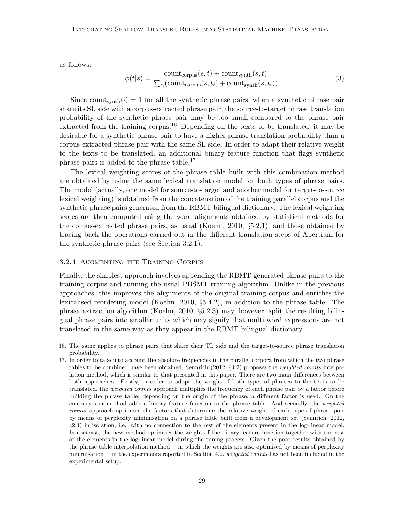as follows:

$$
\phi(t|s) = \frac{\text{count}_{\text{corpus}}(s, t) + \text{count}_{\text{synth}}(s, t)}{\sum_{t_i}(\text{count}_{\text{corpus}}(s, t_i) + \text{count}_{\text{synth}}(s, t_i))}
$$
(3)

Since count<sub>synth</sub> $\binom{\cdot}{0} = 1$  for all the synthetic phrase pairs, when a synthetic phrase pair share its SL side with a corpus-extracted phrase pair, the source-to-target phrase translation probability of the synthetic phrase pair may be too small compared to the phrase pair extracted from the training corpus.<sup>16</sup> Depending on the texts to be translated, it may be desirable for a synthetic phrase pair to have a higher phrase translation probability than a corpus-extracted phrase pair with the same SL side. In order to adapt their relative weight to the texts to be translated, an additional binary feature function that flags synthetic phrase pairs is added to the phrase table.<sup>17</sup>

The lexical weighting scores of the phrase table built with this combination method are obtained by using the same lexical translation model for both types of phrase pairs. The model (actually, one model for source-to-target and another model for target-to-source lexical weighting) is obtained from the concatenation of the training parallel corpus and the synthetic phrase pairs generated from the RBMT bilingual dictionary. The lexical weighting scores are then computed using the word alignments obtained by statistical methods for the corpus-extracted phrase pairs, as usual (Koehn, 2010, §5.2.1), and those obtained by tracing back the operations carried out in the different translation steps of Apertium for the synthetic phrase pairs (see Section 3.2.1).

#### 3.2.4 Augmenting the Training Corpus

Finally, the simplest approach involves appending the RBMT-generated phrase pairs to the training corpus and running the usual PBSMT training algorithm. Unlike in the previous approaches, this improves the alignments of the original training corpus and enriches the lexicalised reordering model (Koehn, 2010, §5.4.2), in addition to the phrase table. The phrase extraction algorithm (Koehn, 2010, §5.2.3) may, however, split the resulting bilingual phrase pairs into smaller units which may signify that multi-word expressions are not translated in the same way as they appear in the RBMT bilingual dictionary.

<sup>16.</sup> The same applies to phrase pairs that share their TL side and the target-to-source phrase translation probability.

<sup>17.</sup> In order to take into account the absolute frequencies in the parallel corpora from which the two phrase tables to be combined have been obtained, Sennrich (2012, §4.2) proposes the weighted counts interpolation method, which is similar to that presented in this paper. There are two main differences between both approaches. Firstly, in order to adapt the weight of both types of phrases to the texts to be translated, the weighted counts approach multiplies the frequency of each phrase pair by a factor before building the phrase table; depending on the origin of the phrase, a different factor is used. On the contrary, our method adds a binary feature function to the phrase table. And secondly, the weighted counts approach optimises the factors that determine the relative weight of each type of phrase pair by means of perplexity minimisation on a phrase table built from a development set (Sennrich, 2012, §2.4) in isolation, i.e., with no connection to the rest of the elements present in the log-linear model. In contrast, the new method optimises the weight of the binary feature function together with the rest of the elements in the log-linear model during the tuning process. Given the poor results obtained by the phrase table interpolation method —in which the weights are also optimised by means of perplexity minimisation— in the experiments reported in Section 4.2, weighted counts has not been included in the experimental setup.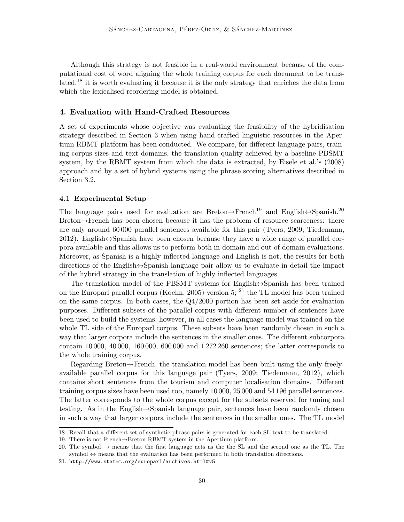Although this strategy is not feasible in a real-world environment because of the computational cost of word aligning the whole training corpus for each document to be trans- $\lbrack \det d \rbrack$ <sup>18</sup> it is worth evaluating it because it is the only strategy that enriches the data from which the lexicalised reordering model is obtained.

# 4. Evaluation with Hand-Crafted Resources

A set of experiments whose objective was evaluating the feasibility of the hybridisation strategy described in Section 3 when using hand-crafted linguistic resources in the Apertium RBMT platform has been conducted. We compare, for different language pairs, training corpus sizes and text domains, the translation quality achieved by a baseline PBSMT system, by the RBMT system from which the data is extracted, by Eisele et al.'s (2008) approach and by a set of hybrid systems using the phrase scoring alternatives described in Section 3.2.

#### 4.1 Experimental Setup

The language pairs used for evaluation are Breton $\rightarrow$ French<sup>19</sup> and English $\leftrightarrow$ Spanish.<sup>20</sup> Breton→French has been chosen because it has the problem of resource scarceness: there are only around 60 000 parallel sentences available for this pair (Tyers, 2009; Tiedemann,  $2012$ ). English $\leftrightarrow$ Spanish have been chosen because they have a wide range of parallel corpora available and this allows us to perform both in-domain and out-of-domain evaluations. Moreover, as Spanish is a highly inflected language and English is not, the results for both directions of the English↔Spanish language pair allow us to evaluate in detail the impact of the hybrid strategy in the translation of highly inflected languages.

The translation model of the PBSMT systems for English $\leftrightarrow$ Spanish has been trained on the Europarl parallel corpus (Koehn, 2005) version 5;  $^{21}$  the TL model has been trained on the same corpus. In both cases, the Q4/2000 portion has been set aside for evaluation purposes. Different subsets of the parallel corpus with different number of sentences have been used to build the systems; however, in all cases the language model was trained on the whole TL side of the Europarl corpus. These subsets have been randomly chosen in such a way that larger corpora include the sentences in the smaller ones. The different subcorpora contain 10 000, 40 000, 160 000, 600 000 and 1 272 260 sentences; the latter corresponds to the whole training corpus.

Regarding Breton→French, the translation model has been built using the only freelyavailable parallel corpus for this language pair (Tyers, 2009; Tiedemann, 2012), which contains short sentences from the tourism and computer localisation domains. Different training corpus sizes have been used too, namely 10 000, 25 000 and 54 196 parallel sentences. The latter corresponds to the whole corpus except for the subsets reserved for tuning and testing. As in the English→Spanish language pair, sentences have been randomly chosen in such a way that larger corpora include the sentences in the smaller ones. The TL model

<sup>18.</sup> Recall that a different set of synthetic phrase pairs is generated for each SL text to be translated.

<sup>19.</sup> There is not French→Breton RBMT system in the Apertium platform.

<sup>20.</sup> The symbol  $\rightarrow$  means that the first language acts as the second one as the TL. The symbol  $\leftrightarrow$  means that the evaluation has been performed in both translation directions.

<sup>21.</sup> http://www.statmt.org/europarl/archives.html#v5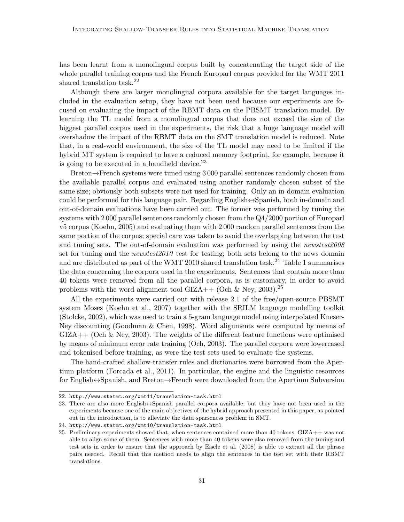has been learnt from a monolingual corpus built by concatenating the target side of the whole parallel training corpus and the French Europarl corpus provided for the WMT 2011 shared translation task.<sup>22</sup>

Although there are larger monolingual corpora available for the target languages included in the evaluation setup, they have not been used because our experiments are focused on evaluating the impact of the RBMT data on the PBSMT translation model. By learning the TL model from a monolingual corpus that does not exceed the size of the biggest parallel corpus used in the experiments, the risk that a huge language model will overshadow the impact of the RBMT data on the SMT translation model is reduced. Note that, in a real-world environment, the size of the TL model may need to be limited if the hybrid MT system is required to have a reduced memory footprint, for example, because it is going to be executed in a handheld device. $^{23}$ 

Breton→French systems were tuned using 3 000 parallel sentences randomly chosen from the available parallel corpus and evaluated using another randomly chosen subset of the same size; obviously both subsets were not used for training. Only an in-domain evaluation could be performed for this language pair. Regarding English $\leftrightarrow$ Spanish, both in-domain and out-of-domain evaluations have been carried out. The former was performed by tuning the systems with 2 000 parallel sentences randomly chosen from the Q4/2000 portion of Europarl v5 corpus (Koehn, 2005) and evaluating them with 2 000 random parallel sentences from the same portion of the corpus; special care was taken to avoid the overlapping between the test and tuning sets. The out-of-domain evaluation was performed by using the *newstest2008* set for tuning and the *newstest2010* test for testing; both sets belong to the news domain and are distributed as part of the WMT 2010 shared translation task.<sup>24</sup> Table 1 summarises the data concerning the corpora used in the experiments. Sentences that contain more than 40 tokens were removed from all the parallel corpora, as is customary, in order to avoid problems with the word alignment tool GIZA++ (Och & Ney, 2003).<sup>25</sup>

All the experiments were carried out with release 2.1 of the free/open-source PBSMT system Moses (Koehn et al., 2007) together with the SRILM language modelling toolkit (Stolcke, 2002), which was used to train a 5-gram language model using interpolated Kneser-Ney discounting (Goodman & Chen, 1998). Word alignments were computed by means of  $GIZA++$  (Och & Ney, 2003). The weights of the different feature functions were optimised by means of minimum error rate training (Och, 2003). The parallel corpora were lowercased and tokenised before training, as were the test sets used to evaluate the systems.

The hand-crafted shallow-transfer rules and dictionaries were borrowed from the Apertium platform (Forcada et al., 2011). In particular, the engine and the linguistic resources for English↔Spanish, and Breton→French were downloaded from the Apertium Subversion

<sup>22.</sup> http://www.statmt.org/wmt11/translation-task.html

<sup>23.</sup> There are also more English⇔Spanish parallel corpora available, but they have not been used in the experiments because one of the main objectives of the hybrid approach presented in this paper, as pointed out in the introduction, is to alleviate the data sparseness problem in SMT.

<sup>24.</sup> http://www.statmt.org/wmt10/translation-task.html

<sup>25.</sup> Preliminary experiments showed that, when sentences contained more than 40 tokens, GIZA++ was not able to align some of them. Sentences with more than 40 tokens were also removed from the tuning and test sets in order to ensure that the approach by Eisele et al. (2008) is able to extract all the phrase pairs needed. Recall that this method needs to align the sentences in the test set with their RBMT translations.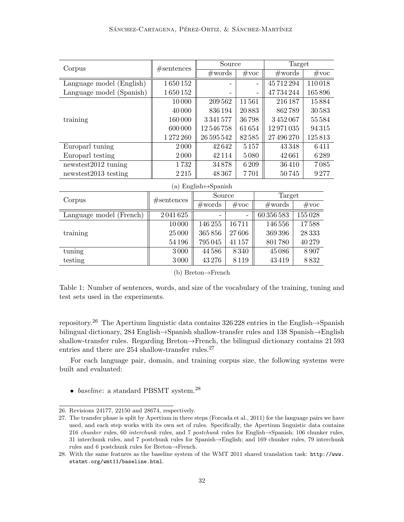| Corpus                                               | #sentences | Source           |                          | Target |                  |  |                |
|------------------------------------------------------|------------|------------------|--------------------------|--------|------------------|--|----------------|
|                                                      |            | #words           | $\#\text{voc}$           |        | $\#\text{words}$ |  | $\#\text{voc}$ |
| Language model (English)                             | 1650152    |                  |                          |        | 45712294         |  | 110018         |
| Language model (Spanish)                             | 1650152    |                  | $\overline{\phantom{0}}$ |        | 47734244         |  | 165896         |
|                                                      | 10000      | 209562           | 11561                    |        | 216 187          |  | 15884          |
|                                                      | 40 000     | 836 194          | 20883                    |        | 862789           |  | 30583          |
| training                                             | 160000     | 3341577          | 36798                    |        | 3452067          |  | 55584          |
|                                                      | 600 000    | 12546758         | 61654                    |        | 12971035         |  | 94315          |
|                                                      | 1272260    | 26 595 542       | 82585                    |        | 27 496 270       |  | 125813         |
| Europarl tuning                                      | 2000       | 42642            | $5\,157$                 |        | 43348            |  | 6411           |
| Europarl testing                                     | 2000       | 42 1 1 4         | 5080                     |        | 42661            |  | 6289           |
| newstest $2012$ tuning                               | 1732       | 34878            | 6 209                    |        | 36410            |  | 7085           |
| newstest $2013$ testing                              | 2215       | 48 367           | 7701                     |        | 50745            |  | 9277           |
| (a) English $\leftrightarrow$ Spanish                |            |                  |                          |        |                  |  |                |
| Corpus                                               | #sentences | Source           |                          |        | Target           |  |                |
|                                                      |            | $\#\text{words}$ | $\#\text{voc}$           |        | $\#\text{words}$ |  | $\#\text{voc}$ |
| $I_{\text{an} \text{ image} \text{ model}}$ (Exerch) | 9.041695   |                  |                          |        | 60.95659         |  | 15500          |

|                         |         | $T$ is $\sigma$ to $\sigma$ | $T$ v $\cup$ $\cup$ | 11.11    | $T$ v $\circ$ $\circ$ |
|-------------------------|---------|-----------------------------|---------------------|----------|-----------------------|
| Language model (French) | 2041625 |                             |                     | 60356583 | 155028                |
|                         | 10000   | 146 255                     | 16711               | 146 556  | 17588                 |
| training                | 25 000  | 365856                      | 27606               | 369396   | 28 3 3 3              |
|                         | 54 196  | 795045                      | 41 157              | 801780   | 40279                 |
| tuning                  | 3000    | 44586                       | 8340                | 45086    | 8.907                 |
| testing                 | 3000    | 43276                       | 8119                | 43419    | 8832                  |

(b) Breton→French

Table 1: Number of sentences, words, and size of the vocabulary of the training, tuning and test sets used in the experiments.

repository.<sup>26</sup> The Apertium linguistic data contains 326 228 entries in the English $\rightarrow$ Spanish bilingual dictionary, 284 English→Spanish shallow-transfer rules and 138 Spanish→English shallow-transfer rules. Regarding Breton→French, the bilingual dictionary contains 21 593 entries and there are  $254$  shallow-transfer rules.<sup>27</sup>

For each language pair, domain, and training corpus size, the following systems were built and evaluated:

• baseline: a standard PBSMT system.<sup>28</sup>

<sup>26.</sup> Revisions 24177, 22150 and 28674, respectively.

<sup>27.</sup> The transfer phase is split by Apertium in three steps (Forcada et al., 2011) for the language pairs we have used, and each step works with its own set of rules. Specifically, the Apertium linguistic data contains 216 chunker rules, 60 interchunk rules, and 7 postchunk rules for English→Spanish; 106 chunker rules, 31 interchunk rules, and 7 postchunk rules for Spanish→English; and 169 chunker rules, 79 interchunk rules and 6 postchunk rules for Breton→French.

<sup>28.</sup> With the same features as the baseline system of the WMT 2011 shared translation task: http://www. statmt.org/wmt11/baseline.html.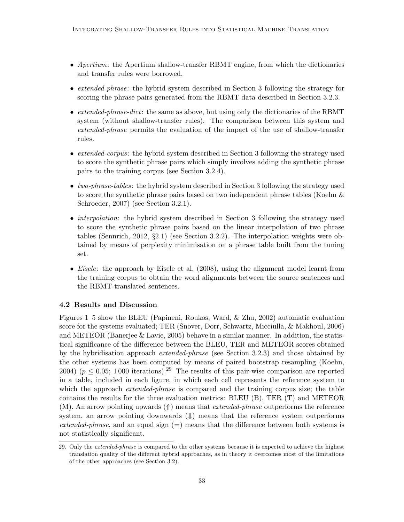- Apertium: the Apertium shallow-transfer RBMT engine, from which the dictionaries and transfer rules were borrowed.
- extended-phrase: the hybrid system described in Section 3 following the strategy for scoring the phrase pairs generated from the RBMT data described in Section 3.2.3.
- extended-phrase-dict: the same as above, but using only the dictionaries of the RBMT system (without shallow-transfer rules). The comparison between this system and extended-phrase permits the evaluation of the impact of the use of shallow-transfer rules.
- extended-corpus: the hybrid system described in Section 3 following the strategy used to score the synthetic phrase pairs which simply involves adding the synthetic phrase pairs to the training corpus (see Section 3.2.4).
- two-phrase-tables: the hybrid system described in Section 3 following the strategy used to score the synthetic phrase pairs based on two independent phrase tables (Koehn & Schroeder, 2007) (see Section 3.2.1).
- *interpolation*: the hybrid system described in Section 3 following the strategy used to score the synthetic phrase pairs based on the linear interpolation of two phrase tables (Sennrich, 2012, §2.1) (see Section 3.2.2). The interpolation weights were obtained by means of perplexity minimisation on a phrase table built from the tuning set.
- *Eisele*: the approach by Eisele et al. (2008), using the alignment model learnt from the training corpus to obtain the word alignments between the source sentences and the RBMT-translated sentences.

# 4.2 Results and Discussion

Figures 1–5 show the BLEU (Papineni, Roukos, Ward, & Zhu, 2002) automatic evaluation score for the systems evaluated; TER (Snover, Dorr, Schwartz, Micciulla, & Makhoul, 2006) and METEOR (Banerjee  $&$  Lavie, 2005) behave in a similar manner. In addition, the statistical significance of the difference between the BLEU, TER and METEOR scores obtained by the hybridisation approach *extended-phrase* (see Section 3.2.3) and those obtained by the other systems has been computed by means of paired bootstrap resampling (Koehn, 2004) ( $p \le 0.05$ ; 1000 iterations).<sup>29</sup> The results of this pair-wise comparison are reported in a table, included in each figure, in which each cell represents the reference system to which the approach *extended-phrase* is compared and the training corpus size; the table contains the results for the three evaluation metrics: BLEU (B), TER (T) and METEOR  $(M)$ . An arrow pointing upwards  $(\Uparrow)$  means that *extended-phrase* outperforms the reference system, an arrow pointing downwards  $(\Downarrow)$  means that the reference system outperforms extended-phrase, and an equal sign  $(=)$  means that the difference between both systems is not statistically significant.

<sup>29.</sup> Only the extended-phrase is compared to the other systems because it is expected to achieve the highest translation quality of the different hybrid approaches, as in theory it overcomes most of the limitations of the other approaches (see Section 3.2).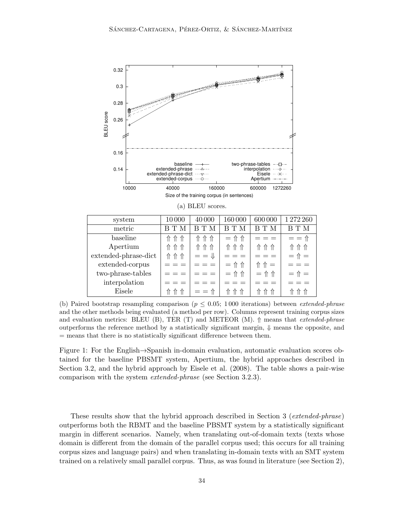

(b) Paired bootstrap resampling comparison ( $p \leq 0.05$ ; 1000 iterations) between *extended-phrase* and the other methods being evaluated (a method per row). Columns represent training corpus sizes and evaluation metrics: BLEU (B), TER (T) and METEOR (M).  $\Uparrow$  means that *extended-phrase* outperforms the reference method by a statistically significant margin,  $\psi$  means the opposite, and = means that there is no statistically significant difference between them.

Figure 1: For the English→Spanish in-domain evaluation, automatic evaluation scores obtained for the baseline PBSMT system, Apertium, the hybrid approaches described in Section 3.2, and the hybrid approach by Eisele et al. (2008). The table shows a pair-wise comparison with the system extended-phrase (see Section 3.2.3).

These results show that the hybrid approach described in Section 3 (extended-phrase) outperforms both the RBMT and the baseline PBSMT system by a statistically significant margin in different scenarios. Namely, when translating out-of-domain texts (texts whose domain is different from the domain of the parallel corpus used; this occurs for all training corpus sizes and language pairs) and when translating in-domain texts with an SMT system trained on a relatively small parallel corpus. Thus, as was found in literature (see Section 2),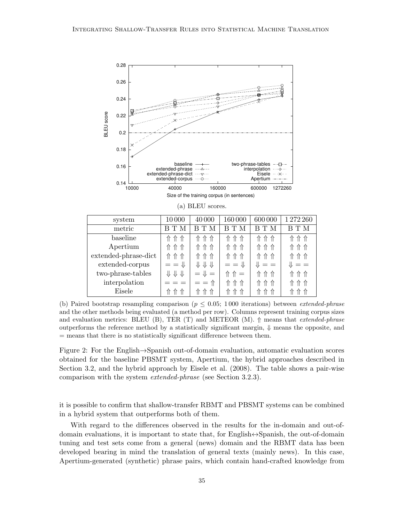

(b) Paired bootstrap resampling comparison ( $p \leq 0.05$ ; 1000 iterations) between *extended-phrase* and the other methods being evaluated (a method per row). Columns represent training corpus sizes and evaluation metrics: BLEU (B), TER (T) and METEOR (M).  $\Uparrow$  means that *extended-phrase* outperforms the reference method by a statistically significant margin,  $\psi$  means the opposite, and = means that there is no statistically significant difference between them.

Figure 2: For the English→Spanish out-of-domain evaluation, automatic evaluation scores obtained for the baseline PBSMT system, Apertium, the hybrid approaches described in Section 3.2, and the hybrid approach by Eisele et al. (2008). The table shows a pair-wise comparison with the system extended-phrase (see Section 3.2.3).

it is possible to confirm that shallow-transfer RBMT and PBSMT systems can be combined in a hybrid system that outperforms both of them.

With regard to the differences observed in the results for the in-domain and out-ofdomain evaluations, it is important to state that, for English↔Spanish, the out-of-domain tuning and test sets come from a general (news) domain and the RBMT data has been developed bearing in mind the translation of general texts (mainly news). In this case, Apertium-generated (synthetic) phrase pairs, which contain hand-crafted knowledge from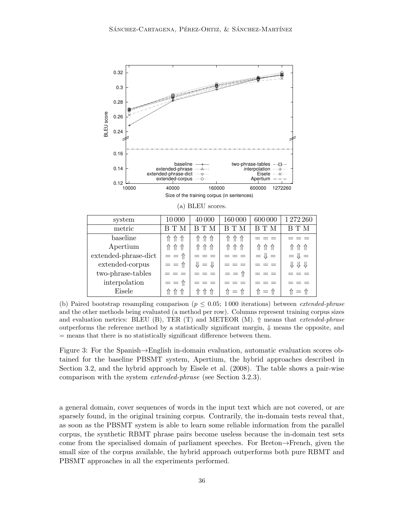

(b) Paired bootstrap resampling comparison ( $p \leq 0.05$ ; 1000 iterations) between *extended-phrase* and the other methods being evaluated (a method per row). Columns represent training corpus sizes and evaluation metrics: BLEU (B), TER (T) and METEOR (M).  $\Uparrow$  means that *extended-phrase* outperforms the reference method by a statistically significant margin,  $\Downarrow$  means the opposite, and = means that there is no statistically significant difference between them.

Figure 3: For the Spanish→English in-domain evaluation, automatic evaluation scores obtained for the baseline PBSMT system, Apertium, the hybrid approaches described in Section 3.2, and the hybrid approach by Eisele et al. (2008). The table shows a pair-wise comparison with the system extended-phrase (see Section 3.2.3).

a general domain, cover sequences of words in the input text which are not covered, or are sparsely found, in the original training corpus. Contrarily, the in-domain tests reveal that, as soon as the PBSMT system is able to learn some reliable information from the parallel corpus, the synthetic RBMT phrase pairs become useless because the in-domain test sets come from the specialised domain of parliament speeches. For Breton→French, given the small size of the corpus available, the hybrid approach outperforms both pure RBMT and PBSMT approaches in all the experiments performed.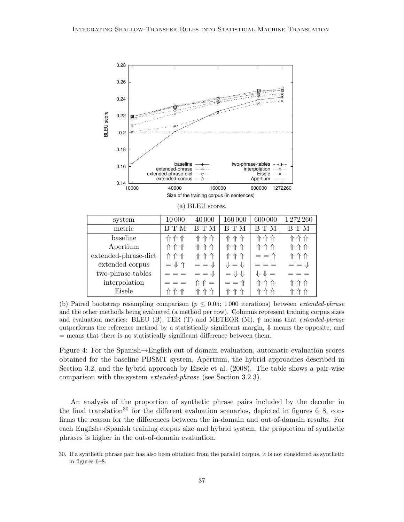

(b) Paired bootstrap resampling comparison ( $p \leq 0.05$ ; 1000 iterations) between *extended-phrase* and the other methods being evaluated (a method per row). Columns represent training corpus sizes and evaluation metrics: BLEU (B), TER (T) and METEOR (M).  $\Uparrow$  means that *extended-phrase* outperforms the reference method by a statistically significant margin,  $\Downarrow$  means the opposite, and = means that there is no statistically significant difference between them.

Figure 4: For the Spanish→English out-of-domain evaluation, automatic evaluation scores obtained for the baseline PBSMT system, Apertium, the hybrid approaches described in Section 3.2, and the hybrid approach by Eisele et al. (2008). The table shows a pair-wise comparison with the system extended-phrase (see Section 3.2.3).

An analysis of the proportion of synthetic phrase pairs included by the decoder in the final translation<sup>30</sup> for the different evaluation scenarios, depicted in figures  $6-8$ , confirms the reason for the differences between the in-domain and out-of-domain results. For each English $\leftrightarrow$ Spanish training corpus size and hybrid system, the proportion of synthetic phrases is higher in the out-of-domain evaluation.

<sup>30.</sup> If a synthetic phrase pair has also been obtained from the parallel corpus, it is not considered as synthetic in figures 6–8.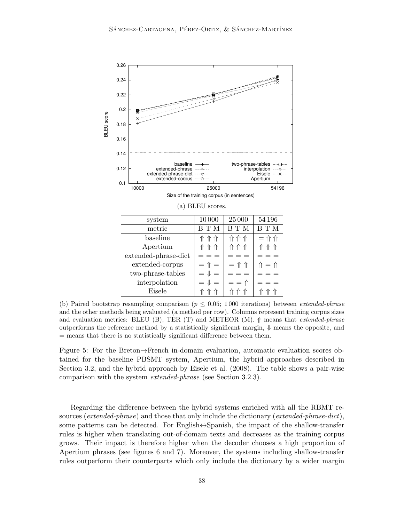

(b) Paired bootstrap resampling comparison ( $p \leq 0.05$ ; 1000 iterations) between *extended-phrase* and the other methods being evaluated (a method per row). Columns represent training corpus sizes and evaluation metrics: BLEU (B), TER (T) and METEOR (M).  $\Uparrow$  means that *extended-phrase* outperforms the reference method by a statistically significant margin,  $\psi$  means the opposite, and = means that there is no statistically significant difference between them.

Figure 5: For the Breton→French in-domain evaluation, automatic evaluation scores obtained for the baseline PBSMT system, Apertium, the hybrid approaches described in Section 3.2, and the hybrid approach by Eisele et al. (2008). The table shows a pair-wise comparison with the system extended-phrase (see Section 3.2.3).

Regarding the difference between the hybrid systems enriched with all the RBMT resources (extended-phrase) and those that only include the dictionary (extended-phrase-dict), some patterns can be detected. For English⇔Spanish, the impact of the shallow-transfer rules is higher when translating out-of-domain texts and decreases as the training corpus grows. Their impact is therefore higher when the decoder chooses a high proportion of Apertium phrases (see figures 6 and 7). Moreover, the systems including shallow-transfer rules outperform their counterparts which only include the dictionary by a wider margin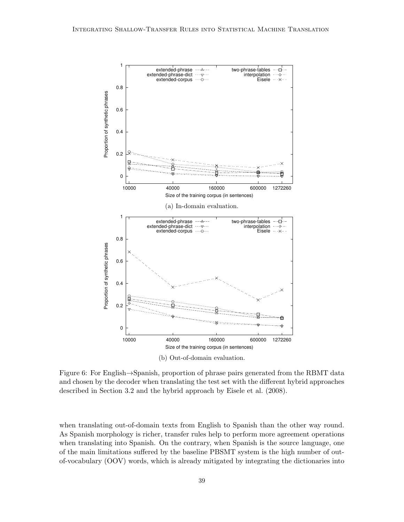

Figure 6: For English→Spanish, proportion of phrase pairs generated from the RBMT data and chosen by the decoder when translating the test set with the different hybrid approaches described in Section 3.2 and the hybrid approach by Eisele et al. (2008).

when translating out-of-domain texts from English to Spanish than the other way round. As Spanish morphology is richer, transfer rules help to perform more agreement operations when translating into Spanish. On the contrary, when Spanish is the source language, one of the main limitations suffered by the baseline PBSMT system is the high number of outof-vocabulary (OOV) words, which is already mitigated by integrating the dictionaries into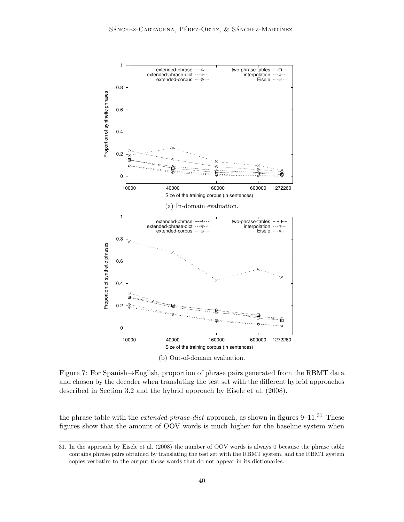

Figure 7: For Spanish→English, proportion of phrase pairs generated from the RBMT data and chosen by the decoder when translating the test set with the different hybrid approaches described in Section 3.2 and the hybrid approach by Eisele et al. (2008).

the phrase table with the *extended-phrase-dict* approach, as shown in figures  $9-11$ .<sup>31</sup> These figures show that the amount of OOV words is much higher for the baseline system when

<sup>31.</sup> In the approach by Eisele et al. (2008) the number of OOV words is always 0 because the phrase table contains phrase pairs obtained by translating the test set with the RBMT system, and the RBMT system copies verbatim to the output those words that do not appear in its dictionaries.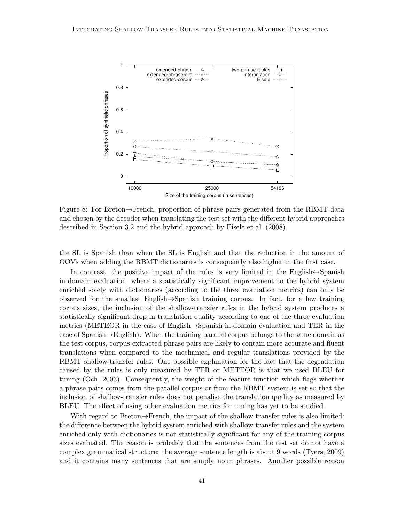

Figure 8: For Breton→French, proportion of phrase pairs generated from the RBMT data and chosen by the decoder when translating the test set with the different hybrid approaches described in Section 3.2 and the hybrid approach by Eisele et al. (2008).

the SL is Spanish than when the SL is English and that the reduction in the amount of OOVs when adding the RBMT dictionaries is consequently also higher in the first case.

In contrast, the positive impact of the rules is very limited in the English $\leftrightarrow$ Spanish in-domain evaluation, where a statistically significant improvement to the hybrid system enriched solely with dictionaries (according to the three evaluation metrics) can only be observed for the smallest English→Spanish training corpus. In fact, for a few training corpus sizes, the inclusion of the shallow-transfer rules in the hybrid system produces a statistically significant drop in translation quality according to one of the three evaluation metrics (METEOR in the case of English→Spanish in-domain evaluation and TER in the case of Spanish→English). When the training parallel corpus belongs to the same domain as the test corpus, corpus-extracted phrase pairs are likely to contain more accurate and fluent translations when compared to the mechanical and regular translations provided by the RBMT shallow-transfer rules. One possible explanation for the fact that the degradation caused by the rules is only measured by TER or METEOR is that we used BLEU for tuning (Och, 2003). Consequently, the weight of the feature function which flags whether a phrase pairs comes from the parallel corpus or from the RBMT system is set so that the inclusion of shallow-transfer rules does not penalise the translation quality as measured by BLEU. The effect of using other evaluation metrics for tuning has yet to be studied.

With regard to Breton→French, the impact of the shallow-transfer rules is also limited: the difference between the hybrid system enriched with shallow-transfer rules and the system enriched only with dictionaries is not statistically significant for any of the training corpus sizes evaluated. The reason is probably that the sentences from the test set do not have a complex grammatical structure: the average sentence length is about 9 words (Tyers, 2009) and it contains many sentences that are simply noun phrases. Another possible reason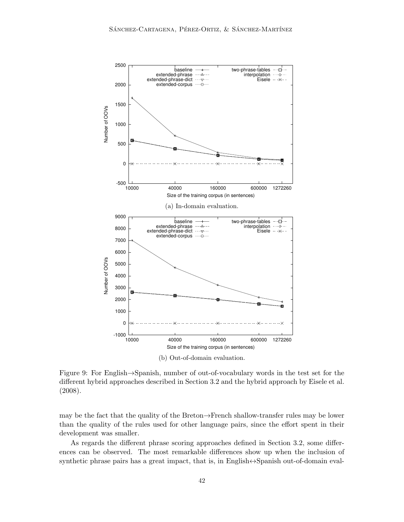

Figure 9: For English→Spanish, number of out-of-vocabulary words in the test set for the different hybrid approaches described in Section 3.2 and the hybrid approach by Eisele et al. (2008).

may be the fact that the quality of the Breton→French shallow-transfer rules may be lower than the quality of the rules used for other language pairs, since the effort spent in their development was smaller.

As regards the different phrase scoring approaches defined in Section 3.2, some differences can be observed. The most remarkable differences show up when the inclusion of synthetic phrase pairs has a great impact, that is, in English↔Spanish out-of-domain eval-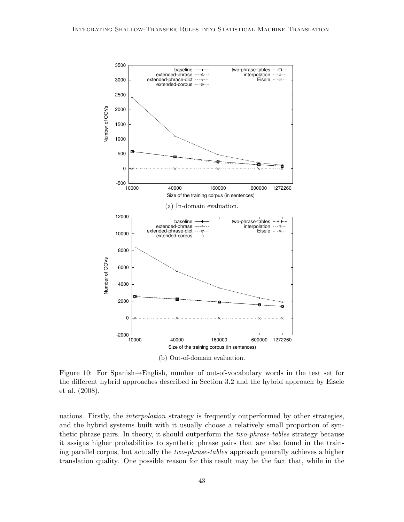

Figure 10: For Spanish→English, number of out-of-vocabulary words in the test set for the different hybrid approaches described in Section 3.2 and the hybrid approach by Eisele et al. (2008).

uations. Firstly, the interpolation strategy is frequently outperformed by other strategies, and the hybrid systems built with it usually choose a relatively small proportion of synthetic phrase pairs. In theory, it should outperform the two-phrase-tables strategy because it assigns higher probabilities to synthetic phrase pairs that are also found in the training parallel corpus, but actually the two-phrase-tables approach generally achieves a higher translation quality. One possible reason for this result may be the fact that, while in the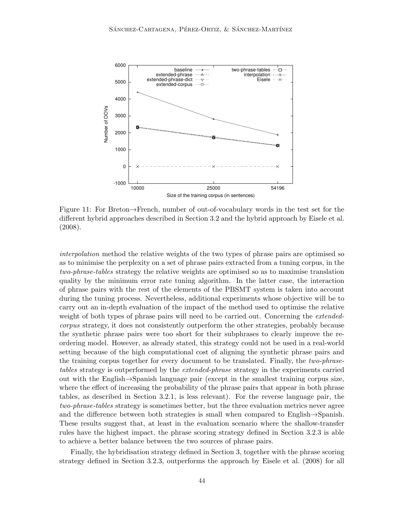

Figure 11: For Breton→French, number of out-of-vocabulary words in the test set for the different hybrid approaches described in Section 3.2 and the hybrid approach by Eisele et al. (2008).

interpolation method the relative weights of the two types of phrase pairs are optimised so as to minimise the perplexity on a set of phrase pairs extracted from a tuning corpus, in the two-phrase-tables strategy the relative weights are optimised so as to maximise translation quality by the minimum error rate tuning algorithm. In the latter case, the interaction of phrase pairs with the rest of the elements of the PBSMT system is taken into account during the tuning process. Nevertheless, additional experiments whose objective will be to carry out an in-depth evaluation of the impact of the method used to optimise the relative weight of both types of phrase pairs will need to be carried out. Concerning the *extended*corpus strategy, it does not consistently outperform the other strategies, probably because the synthetic phrase pairs were too short for their subphrases to clearly improve the reordering model. However, as already stated, this strategy could not be used in a real-world setting because of the high computational cost of aligning the synthetic phrase pairs and the training corpus together for every document to be translated. Finally, the two-phrasetables strategy is outperformed by the *extended-phrase* strategy in the experiments carried out with the English→Spanish language pair (except in the smallest training corpus size, where the effect of increasing the probability of the phrase pairs that appear in both phrase tables, as described in Section 3.2.1, is less relevant). For the reverse language pair, the two-phrase-tables strategy is sometimes better, but the three evaluation metrics never agree and the difference between both strategies is small when compared to English→Spanish. These results suggest that, at least in the evaluation scenario where the shallow-transfer rules have the highest impact, the phrase scoring strategy defined in Section 3.2.3 is able to achieve a better balance between the two sources of phrase pairs.

Finally, the hybridisation strategy defined in Section 3, together with the phrase scoring strategy defined in Section 3.2.3, outperforms the approach by Eisele et al. (2008) for all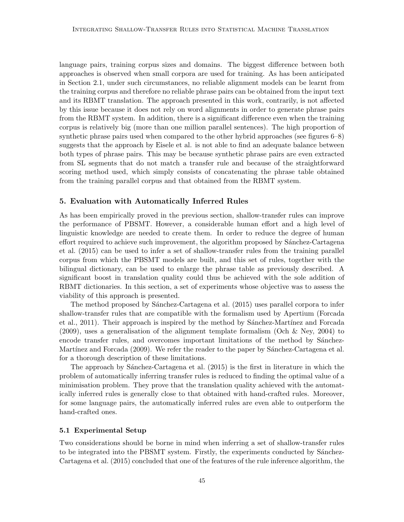language pairs, training corpus sizes and domains. The biggest difference between both approaches is observed when small corpora are used for training. As has been anticipated in Section 2.1, under such circumstances, no reliable alignment models can be learnt from the training corpus and therefore no reliable phrase pairs can be obtained from the input text and its RBMT translation. The approach presented in this work, contrarily, is not affected by this issue because it does not rely on word alignments in order to generate phrase pairs from the RBMT system. In addition, there is a significant difference even when the training corpus is relatively big (more than one million parallel sentences). The high proportion of synthetic phrase pairs used when compared to the other hybrid approaches (see figures 6–8) suggests that the approach by Eisele et al. is not able to find an adequate balance between both types of phrase pairs. This may be because synthetic phrase pairs are even extracted from SL segments that do not match a transfer rule and because of the straightforward scoring method used, which simply consists of concatenating the phrase table obtained from the training parallel corpus and that obtained from the RBMT system.

#### 5. Evaluation with Automatically Inferred Rules

As has been empirically proved in the previous section, shallow-transfer rules can improve the performance of PBSMT. However, a considerable human effort and a high level of linguistic knowledge are needed to create them. In order to reduce the degree of human effort required to achieve such improvement, the algorithm proposed by Sánchez-Cartagena et al. (2015) can be used to infer a set of shallow-transfer rules from the training parallel corpus from which the PBSMT models are built, and this set of rules, together with the bilingual dictionary, can be used to enlarge the phrase table as previously described. A significant boost in translation quality could thus be achieved with the sole addition of RBMT dictionaries. In this section, a set of experiments whose objective was to assess the viability of this approach is presented.

The method proposed by Sánchez-Cartagena et al. (2015) uses parallel corpora to infer shallow-transfer rules that are compatible with the formalism used by Apertium (Forcada et al., 2011). Their approach is inspired by the method by Sánchez-Martínez and Forcada (2009), uses a generalisation of the alignment template formalism (Och & Ney, 2004) to encode transfer rules, and overcomes important limitations of the method by Sánchez-Martínez and Forcada (2009). We refer the reader to the paper by Sánchez-Cartagena et al. for a thorough description of these limitations.

The approach by Sánchez-Cartagena et al.  $(2015)$  is the first in literature in which the problem of automatically inferring transfer rules is reduced to finding the optimal value of a minimisation problem. They prove that the translation quality achieved with the automatically inferred rules is generally close to that obtained with hand-crafted rules. Moreover, for some language pairs, the automatically inferred rules are even able to outperform the hand-crafted ones.

#### 5.1 Experimental Setup

Two considerations should be borne in mind when inferring a set of shallow-transfer rules to be integrated into the PBSMT system. Firstly, the experiments conducted by Sánchez-Cartagena et al. (2015) concluded that one of the features of the rule inference algorithm, the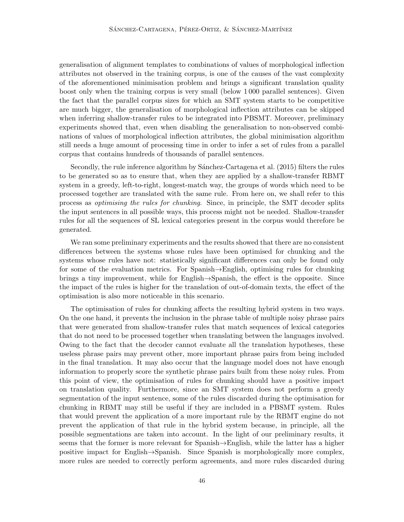generalisation of alignment templates to combinations of values of morphological inflection attributes not observed in the training corpus, is one of the causes of the vast complexity of the aforementioned minimisation problem and brings a significant translation quality boost only when the training corpus is very small (below 1 000 parallel sentences). Given the fact that the parallel corpus sizes for which an SMT system starts to be competitive are much bigger, the generalisation of morphological inflection attributes can be skipped when inferring shallow-transfer rules to be integrated into PBSMT. Moreover, preliminary experiments showed that, even when disabling the generalisation to non-observed combinations of values of morphological inflection attributes, the global minimisation algorithm still needs a huge amount of processing time in order to infer a set of rules from a parallel corpus that contains hundreds of thousands of parallel sentences.

Secondly, the rule inference algorithm by Sánchez-Cartagena et al. (2015) filters the rules to be generated so as to ensure that, when they are applied by a shallow-transfer RBMT system in a greedy, left-to-right, longest-match way, the groups of words which need to be processed together are translated with the same rule. From here on, we shall refer to this process as optimising the rules for chunking. Since, in principle, the SMT decoder splits the input sentences in all possible ways, this process might not be needed. Shallow-transfer rules for all the sequences of SL lexical categories present in the corpus would therefore be generated.

We ran some preliminary experiments and the results showed that there are no consistent differences between the systems whose rules have been optimised for chunking and the systems whose rules have not: statistically significant differences can only be found only for some of the evaluation metrics. For Spanish→English, optimising rules for chunking brings a tiny improvement, while for English→Spanish, the effect is the opposite. Since the impact of the rules is higher for the translation of out-of-domain texts, the effect of the optimisation is also more noticeable in this scenario.

The optimisation of rules for chunking affects the resulting hybrid system in two ways. On the one hand, it prevents the inclusion in the phrase table of multiple noisy phrase pairs that were generated from shallow-transfer rules that match sequences of lexical categories that do not need to be processed together when translating between the languages involved. Owing to the fact that the decoder cannot evaluate all the translation hypotheses, these useless phrase pairs may prevent other, more important phrase pairs from being included in the final translation. It may also occur that the language model does not have enough information to properly score the synthetic phrase pairs built from these noisy rules. From this point of view, the optimisation of rules for chunking should have a positive impact on translation quality. Furthermore, since an SMT system does not perform a greedy segmentation of the input sentence, some of the rules discarded during the optimisation for chunking in RBMT may still be useful if they are included in a PBSMT system. Rules that would prevent the application of a more important rule by the RBMT engine do not prevent the application of that rule in the hybrid system because, in principle, all the possible segmentations are taken into account. In the light of our preliminary results, it seems that the former is more relevant for Spanish→English, while the latter has a higher positive impact for English→Spanish. Since Spanish is morphologically more complex, more rules are needed to correctly perform agreements, and more rules discarded during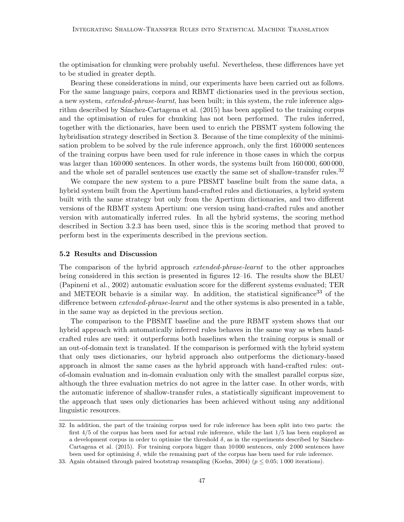the optimisation for chunking were probably useful. Nevertheless, these differences have yet to be studied in greater depth.

Bearing these considerations in mind, our experiments have been carried out as follows. For the same language pairs, corpora and RBMT dictionaries used in the previous section, a new system, extended-phrase-learnt, has been built; in this system, the rule inference algorithm described by Sánchez-Cartagena et al. (2015) has been applied to the training corpus and the optimisation of rules for chunking has not been performed. The rules inferred, together with the dictionaries, have been used to enrich the PBSMT system following the hybridisation strategy described in Section 3. Because of the time complexity of the minimisation problem to be solved by the rule inference approach, only the first 160 000 sentences of the training corpus have been used for rule inference in those cases in which the corpus was larger than 160 000 sentences. In other words, the systems built from 160 000, 600 000, and the whole set of parallel sentences use exactly the same set of shallow-transfer rules.<sup>32</sup>

We compare the new system to a pure PBSMT baseline built from the same data, a hybrid system built from the Apertium hand-crafted rules and dictionaries, a hybrid system built with the same strategy but only from the Apertium dictionaries, and two different versions of the RBMT system Apertium: one version using hand-crafted rules and another version with automatically inferred rules. In all the hybrid systems, the scoring method described in Section 3.2.3 has been used, since this is the scoring method that proved to perform best in the experiments described in the previous section.

# 5.2 Results and Discussion

The comparison of the hybrid approach extended-phrase-learnt to the other approaches being considered in this section is presented in figures 12–16. The results show the BLEU (Papineni et al., 2002) automatic evaluation score for the different systems evaluated; TER and METEOR behavie is a similar way. In addition, the statistical significance  $33$  of the difference between *extended-phrase-learnt* and the other systems is also presented in a table, in the same way as depicted in the previous section.

The comparison to the PBSMT baseline and the pure RBMT system shows that our hybrid approach with automatically inferred rules behaves in the same way as when handcrafted rules are used: it outperforms both baselines when the training corpus is small or an out-of-domain text is translated. If the comparison is performed with the hybrid system that only uses dictionaries, our hybrid approach also outperforms the dictionary-based approach in almost the same cases as the hybrid approach with hand-crafted rules: outof-domain evaluation and in-domain evaluation only with the smallest parallel corpus size, although the three evaluation metrics do not agree in the latter case. In other words, with the automatic inference of shallow-transfer rules, a statistically significant improvement to the approach that uses only dictionaries has been achieved without using any additional linguistic resources.

<sup>32.</sup> In addition, the part of the training corpus used for rule inference has been split into two parts: the first 4/5 of the corpus has been used for actual rule inference, while the last 1/5 has been employed as a development corpus in order to optimise the threshold  $\delta$ , as in the experiments described by Sánchez-Cartagena et al. (2015). For training corpora bigger than 10 000 sentences, only 2 000 sentences have been used for optimising  $\delta$ , while the remaining part of the corpus has been used for rule inference.

<sup>33.</sup> Again obtained through paired bootstrap resampling (Koehn, 2004) ( $p \le 0.05$ ; 1000 iterations).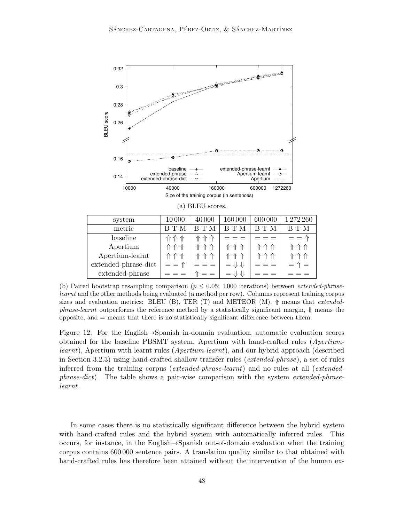

(b) Paired bootstrap resampling comparison ( $p \leq 0.05$ ; 1000 iterations) between *extended-phrase*learnt and the other methods being evaluated (a method per row). Columns represent training corpus sizes and evaluation metrics: BLEU (B), TER (T) and METEOR (M).  $\Uparrow$  means that *extended*phrase-learnt outperforms the reference method by a statistically significant margin,  $\Downarrow$  means the  $opposite$ , and  $=$  means that there is no statistically significant difference between them.

Figure 12: For the English→Spanish in-domain evaluation, automatic evaluation scores obtained for the baseline PBSMT system, Apertium with hand-crafted rules (Apertiumlearnt), Apertium with learnt rules (Apertium-learnt), and our hybrid approach (described in Section 3.2.3) using hand-crafted shallow-transfer rules (*extended-phrase*), a set of rules inferred from the training corpus (extended-phrase-learnt) and no rules at all (extendedphrase-dict). The table shows a pair-wise comparison with the system extended-phraselearnt.

In some cases there is no statistically significant difference between the hybrid system with hand-crafted rules and the hybrid system with automatically inferred rules. This occurs, for instance, in the English→Spanish out-of-domain evaluation when the training corpus contains 600 000 sentence pairs. A translation quality similar to that obtained with hand-crafted rules has therefore been attained without the intervention of the human ex-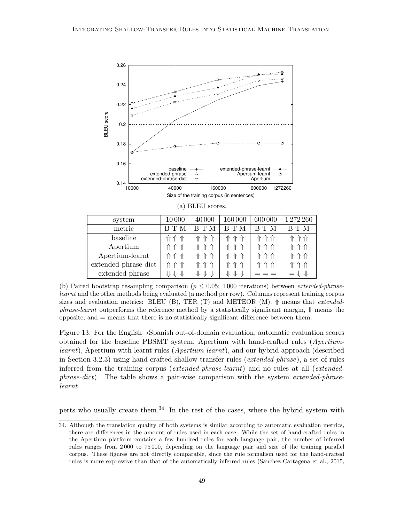

(b) Paired bootstrap resampling comparison ( $p \leq 0.05$ ; 1000 iterations) between *extended-phrase*learnt and the other methods being evaluated (a method per row). Columns represent training corpus sizes and evaluation metrics: BLEU (B), TER (T) and METEOR (M).  $\Uparrow$  means that *extended*phrase-learnt outperforms the reference method by a statistically significant margin,  $\downarrow$  means the  $opposite$ , and  $=$  means that there is no statistically significant difference between them.

Figure 13: For the English→Spanish out-of-domain evaluation, automatic evaluation scores obtained for the baseline PBSMT system, Apertium with hand-crafted rules (Apertiumlearnt), Apertium with learnt rules (Apertium-learnt), and our hybrid approach (described in Section 3.2.3) using hand-crafted shallow-transfer rules (*extended-phrase*), a set of rules inferred from the training corpus (extended-phrase-learnt) and no rules at all (extendedphrase-dict). The table shows a pair-wise comparison with the system extended-phraselearnt.

perts who usually create them.<sup>34</sup> In the rest of the cases, where the hybrid system with

<sup>34.</sup> Although the translation quality of both systems is similar according to automatic evaluation metrics, there are differences in the amount of rules used in each case. While the set of hand-crafted rules in the Apertium platform contains a few hundred rules for each language pair, the number of inferred rules ranges from 2 000 to 75 000, depending on the language pair and size of the training parallel corpus. These figures are not directly comparable, since the rule formalism used for the hand-crafted rules is more expressive than that of the automatically inferred rules (Sánchez-Cartagena et al., 2015,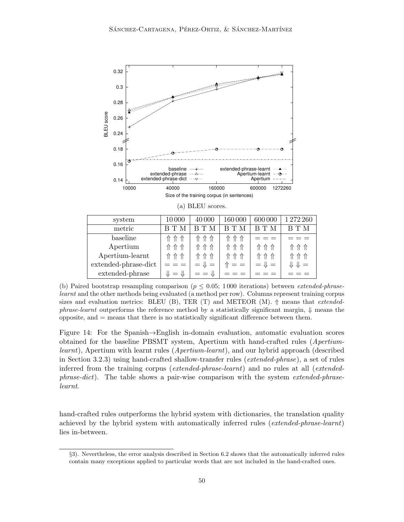

(b) Paired bootstrap resampling comparison ( $p \leq 0.05$ ; 1000 iterations) between *extended-phrase*learnt and the other methods being evaluated (a method per row). Columns represent training corpus sizes and evaluation metrics: BLEU (B), TER (T) and METEOR (M).  $\Uparrow$  means that *extended*phrase-learnt outperforms the reference method by a statistically significant margin,  $\downarrow$  means the  $opposite$ , and  $=$  means that there is no statistically significant difference between them.

Figure 14: For the Spanish→English in-domain evaluation, automatic evaluation scores obtained for the baseline PBSMT system, Apertium with hand-crafted rules (Apertiumlearnt), Apertium with learnt rules (Apertium-learnt), and our hybrid approach (described in Section 3.2.3) using hand-crafted shallow-transfer rules (*extended-phrase*), a set of rules inferred from the training corpus (*extended-phrase-learnt*) and no rules at all (*extended*phrase-dict). The table shows a pair-wise comparison with the system extended-phraselearnt.

hand-crafted rules outperforms the hybrid system with dictionaries, the translation quality achieved by the hybrid system with automatically inferred rules (extended-phrase-learnt) lies in-between.

<sup>§</sup>3). Nevertheless, the error analysis described in Section 6.2 shows that the automatically inferred rules contain many exceptions applied to particular words that are not included in the hand-crafted ones.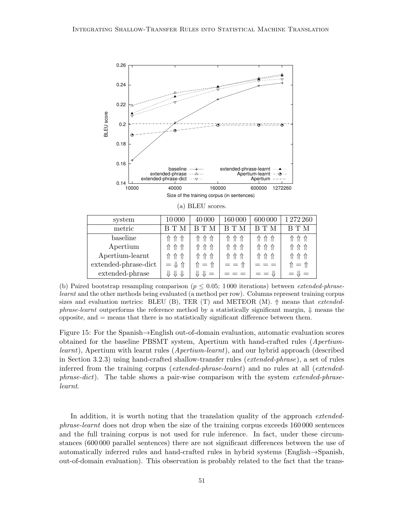

(b) Paired bootstrap resampling comparison ( $p \leq 0.05$ ; 1000 iterations) between *extended-phrase*learnt and the other methods being evaluated (a method per row). Columns represent training corpus sizes and evaluation metrics: BLEU (B), TER (T) and METEOR (M).  $\Uparrow$  means that *extended*phrase-learnt outperforms the reference method by a statistically significant margin,  $\downarrow$  means the  $opposite$ , and  $=$  means that there is no statistically significant difference between them.

Figure 15: For the Spanish→English out-of-domain evaluation, automatic evaluation scores obtained for the baseline PBSMT system, Apertium with hand-crafted rules (Apertiumlearnt), Apertium with learnt rules (Apertium-learnt), and our hybrid approach (described in Section 3.2.3) using hand-crafted shallow-transfer rules (*extended-phrase*), a set of rules inferred from the training corpus (extended-phrase-learnt) and no rules at all (extendedphrase-dict). The table shows a pair-wise comparison with the system extended-phraselearnt.

In addition, it is worth noting that the translation quality of the approach *extended*phrase-learnt does not drop when the size of the training corpus exceeds 160 000 sentences and the full training corpus is not used for rule inference. In fact, under these circumstances (600 000 parallel sentences) there are not significant differences between the use of automatically inferred rules and hand-crafted rules in hybrid systems (English→Spanish, out-of-domain evaluation). This observation is probably related to the fact that the trans-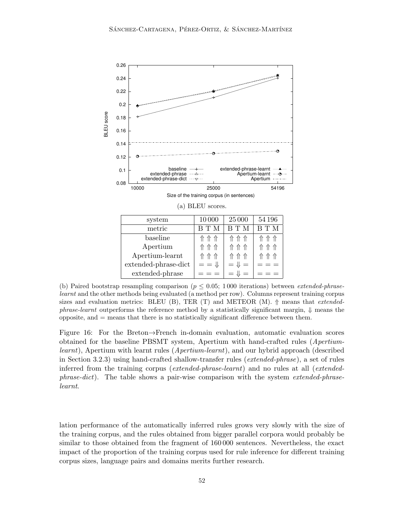

(b) Paired bootstrap resampling comparison ( $p \leq 0.05$ ; 1000 iterations) between *extended-phrase*learnt and the other methods being evaluated (a method per row). Columns represent training corpus sizes and evaluation metrics: BLEU (B), TER (T) and METEOR (M).  $\Uparrow$  means that *extended*phrase-learnt outperforms the reference method by a statistically significant margin,  $\Downarrow$  means the  $opposite$ , and  $=$  means that there is no statistically significant difference between them.

Figure 16: For the Breton→French in-domain evaluation, automatic evaluation scores obtained for the baseline PBSMT system, Apertium with hand-crafted rules (Apertiumlearnt), Apertium with learnt rules (Apertium-learnt), and our hybrid approach (described in Section 3.2.3) using hand-crafted shallow-transfer rules (*extended-phrase*), a set of rules inferred from the training corpus (*extended-phrase-learnt*) and no rules at all (*extended*phrase-dict). The table shows a pair-wise comparison with the system extended-phraselearnt.

lation performance of the automatically inferred rules grows very slowly with the size of the training corpus, and the rules obtained from bigger parallel corpora would probably be similar to those obtained from the fragment of 160 000 sentences. Nevertheless, the exact impact of the proportion of the training corpus used for rule inference for different training corpus sizes, language pairs and domains merits further research.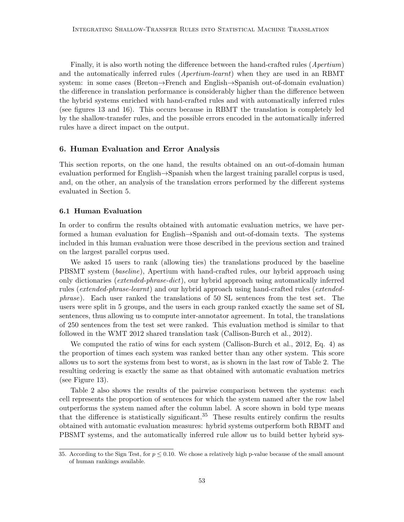Finally, it is also worth noting the difference between the hand-crafted rules (Apertium) and the automatically inferred rules (Apertium-learnt) when they are used in an RBMT system: in some cases (Breton→French and English→Spanish out-of-domain evaluation) the difference in translation performance is considerably higher than the difference between the hybrid systems enriched with hand-crafted rules and with automatically inferred rules (see figures 13 and 16). This occurs because in RBMT the translation is completely led by the shallow-transfer rules, and the possible errors encoded in the automatically inferred rules have a direct impact on the output.

## 6. Human Evaluation and Error Analysis

This section reports, on the one hand, the results obtained on an out-of-domain human evaluation performed for English→Spanish when the largest training parallel corpus is used, and, on the other, an analysis of the translation errors performed by the different systems evaluated in Section 5.

# 6.1 Human Evaluation

In order to confirm the results obtained with automatic evaluation metrics, we have performed a human evaluation for English→Spanish and out-of-domain texts. The systems included in this human evaluation were those described in the previous section and trained on the largest parallel corpus used.

We asked 15 users to rank (allowing ties) the translations produced by the baseline PBSMT system (*baseline*), Apertium with hand-crafted rules, our hybrid approach using only dictionaries (extended-phrase-dict), our hybrid approach using automatically inferred rules (extended-phrase-learnt) and our hybrid approach using hand-crafted rules (extendedphrase). Each user ranked the translations of 50 SL sentences from the test set. The users were split in 5 groups, and the users in each group ranked exactly the same set of SL sentences, thus allowing us to compute inter-annotator agreement. In total, the translations of 250 sentences from the test set were ranked. This evaluation method is similar to that followed in the WMT 2012 shared translation task (Callison-Burch et al., 2012).

We computed the ratio of wins for each system (Callison-Burch et al., 2012, Eq. 4) as the proportion of times each system was ranked better than any other system. This score allows us to sort the systems from best to worst, as is shown in the last row of Table 2. The resulting ordering is exactly the same as that obtained with automatic evaluation metrics (see Figure 13).

Table 2 also shows the results of the pairwise comparison between the systems: each cell represents the proportion of sentences for which the system named after the row label outperforms the system named after the column label. A score shown in bold type means that the difference is statistically significant.<sup>35</sup> These results entirely confirm the results obtained with automatic evaluation measures: hybrid systems outperform both RBMT and PBSMT systems, and the automatically inferred rule allow us to build better hybrid sys-

<sup>35.</sup> According to the Sign Test, for  $p \leq 0.10$ . We chose a relatively high p-value because of the small amount of human rankings available.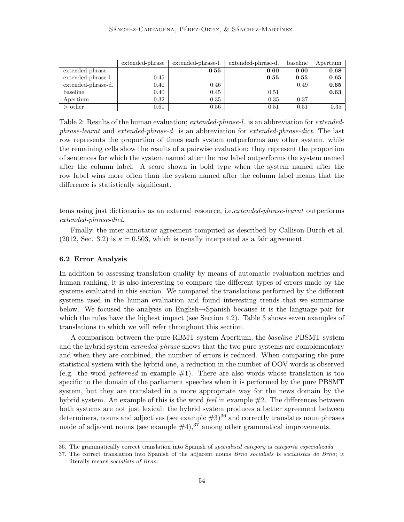|                    | extended-phrase | extended-phrase-l. | extended-phrase-d. | baseline | Apertium |
|--------------------|-----------------|--------------------|--------------------|----------|----------|
| extended-phrase    |                 | 0.55               | 0.60               | 0.60     | 0.68     |
| extended-phrase-l. | 0.45            |                    | 0.55               | 0.55     | 0.65     |
| extended-phrase-d. | 0.40            | 0.46               |                    | 0.49     | 0.65     |
| baseline           | 0.40            | 0.45               | 0.51               |          | 0.63     |
| Apertium           | 0.32            | 0.35               | 0.35               | 0.37     |          |
| $>$ other          | 0.61            | 0.56               | 0.51               | 0.51     | 0.35     |

Table 2: Results of the human evaluation; extended-phrase-l. is an abbreviation for extendedphrase-learnt and extended-phrase-d. is an abbreviation for extended-phrase-dict. The last row represents the proportion of times each system outperforms any other system, while the remaining cells show the results of a pairwise evaluation: they represent the proportion of sentences for which the system named after the row label outperforms the system named after the column label. A score shown in bold type when the system named after the row label wins more often than the system named after the column label means that the difference is statistically significant.

tems using just dictionaries as an external resource, i.e. *extended-phrase-learnt* outperforms extended-phrase-dict.

Finally, the inter-annotator agreement computed as described by Callison-Burch et al. (2012, Sec. 3.2) is  $\kappa = 0.503$ , which is usually interpreted as a fair agreement.

#### 6.2 Error Analysis

In addition to assessing translation quality by means of automatic evaluation metrics and human ranking, it is also interesting to compare the different types of errors made by the systems evaluated in this section. We compared the translations performed by the different systems used in the human evaluation and found interesting trends that we summarise below. We focused the analysis on English→Spanish because it is the language pair for which the rules have the highest impact (see Section 4.2). Table 3 shows seven examples of translations to which we will refer throughout this section.

A comparison between the pure RBMT system Apertium, the baseline PBSMT system and the hybrid system *extended-phrase* shows that the two pure systems are complementary and when they are combined, the number of errors is reduced. When comparing the pure statistical system with the hybrid one, a reduction in the number of OOV words is observed (e.g. the word *patterned* in example  $\#1$ ). There are also words whose translation is too specific to the domain of the parliament speeches when it is performed by the pure PBSMT system, but they are translated in a more appropriate way for the news domain by the hybrid system. An example of this is the word *feel* in example  $#2$ . The differences between both systems are not just lexical: the hybrid system produces a better agreement between determiners, nouns and adjectives (see example  $#3$ )<sup>36</sup> and correctly translates noun phrases made of adjacent nouns (see example  $\#4$ ),<sup>37</sup> among other grammatical improvements.

<sup>36.</sup> The grammatically correct translation into Spanish of specialised category is categoría especializada

<sup>37.</sup> The correct translation into Spanish of the adjacent nouns Brno socialists is socialistas de Brno; it literally means socialists of Brno.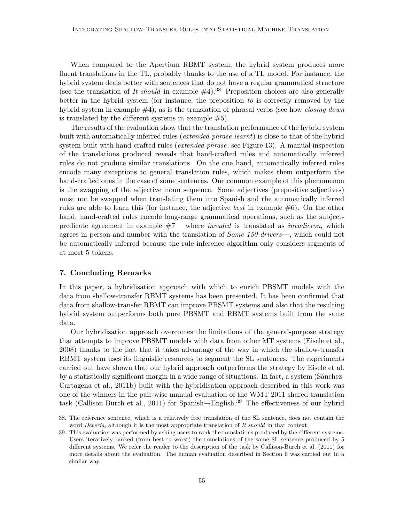When compared to the Apertium RBMT system, the hybrid system produces more fluent translations in the TL, probably thanks to the use of a TL model. For instance, the hybrid system deals better with sentences that do not have a regular grammatical structure (see the translation of It should in example  $#4$ ).<sup>38</sup> Preposition choices are also generally better in the hybrid system (for instance, the preposition to is correctly removed by the hybrid system in example  $#4$ ), as is the translation of phrasal verbs (see how *closing down* is translated by the different systems in example  $#5$ ).

The results of the evaluation show that the translation performance of the hybrid system built with automatically inferred rules (*extended-phrase-learnt*) is close to that of the hybrid system built with hand-crafted rules (*extended-phrase*; see Figure 13). A manual inspection of the translations produced reveals that hand-crafted rules and automatically inferred rules do not produce similar translations. On the one hand, automatically inferred rules encode many exceptions to general translation rules, which makes them outperform the hand-crafted ones in the case of some sentences. One common example of this phenomenon is the swapping of the adjective–noun sequence. Some adjectives (prepositive adjectives) must not be swapped when translating them into Spanish and the automatically inferred rules are able to learn this (for instance, the adjective best in example #6). On the other hand, hand-crafted rules encode long-range grammatical operations, such as the subjectpredicate agreement in example  $#7$  —where *invaded* is translated as *invadieron*, which agrees in person and number with the translation of *Some 150 drivers*—, which could not be automatically inferred because the rule inference algorithm only considers segments of at most 5 tokens.

# 7. Concluding Remarks

In this paper, a hybridisation approach with which to enrich PBSMT models with the data from shallow-transfer RBMT systems has been presented. It has been confirmed that data from shallow-transfer RBMT can improve PBSMT systems and also that the resulting hybrid system outperforms both pure PBSMT and RBMT systems built from the same data.

Our hybridisation approach overcomes the limitations of the general-purpose strategy that attempts to improve PBSMT models with data from other MT systems (Eisele et al., 2008) thanks to the fact that it takes advantage of the way in which the shallow-transfer RBMT system uses its linguistic resources to segment the SL sentences. The experiments carried out have shown that our hybrid approach outperforms the strategy by Eisele et al. by a statistically significant margin in a wide range of situations. In fact, a system (Sánchez-Cartagena et al., 2011b) built with the hybridisation approach described in this work was one of the winners in the pair-wise manual evaluation of the WMT 2011 shared translation task (Callison-Burch et al., 2011) for Spanish $\rightarrow$ English.<sup>39</sup> The effectiveness of our hybrid

<sup>38.</sup> The reference sentence, which is a relatively free translation of the SL sentence, does not contain the word  $Debería$ , although it is the most appropriate translation of It should in that context.

<sup>39.</sup> This evaluation was performed by asking users to rank the translations produced by the different systems. Users iteratively ranked (from best to worst) the translations of the same SL sentence produced by 5 different systems. We refer the reader to the description of the task by Callison-Burch et al. (2011) for more details about the evaluation. The human evaluation described in Section 6 was carried out in a similar way.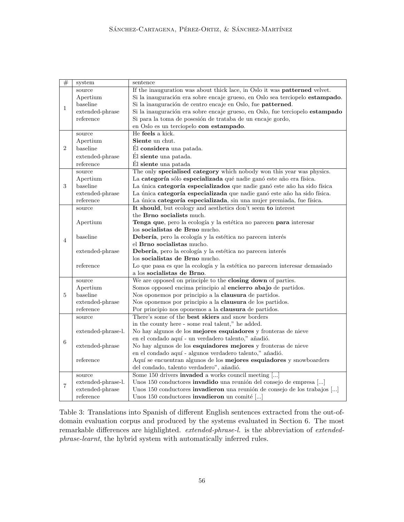| #              | system             | sentence                                                                      |  |  |  |  |
|----------------|--------------------|-------------------------------------------------------------------------------|--|--|--|--|
|                | source             | If the inauguration was about thick lace, in Oslo it was patterned velvet.    |  |  |  |  |
|                | Apertium           | Si la inauguración era sobre encaje grueso, en Oslo sea terciopelo estampado. |  |  |  |  |
| $\mathbf{1}$   | baseline           | Si la inauguración de centro encaje en Oslo, fue patterned.                   |  |  |  |  |
|                | extended-phrase    | Si la inauguración era sobre encaje grueso, en Oslo, fue terciopelo estampado |  |  |  |  |
|                | reference          | Si para la toma de posesión de trataba de un encaje gordo,                    |  |  |  |  |
|                |                    | en Oslo es un terciopelo con estampado.                                       |  |  |  |  |
|                | source             | He feels a kick.                                                              |  |  |  |  |
| $\overline{2}$ | Apertium           | Siente un chut.                                                               |  |  |  |  |
|                | baseline           | Él considera una patada.                                                      |  |  |  |  |
|                | extended-phrase    | Él siente una patada.                                                         |  |  |  |  |
|                | reference          | Él siente una patada                                                          |  |  |  |  |
|                | source             | The only specialised category which nobody won this year was physics.         |  |  |  |  |
|                | Apertium           | La categoría sólo especializada qué nadie ganó este año era física.           |  |  |  |  |
| 3              | baseline           | La única categoría especializados que nadie ganó este año ha sido física      |  |  |  |  |
|                | extended-phrase    | La única categoría especializada que nadie ganó este año ha sido física.      |  |  |  |  |
|                | reference          | La única categoría especializada, sin una mujer premiada, fue física.         |  |  |  |  |
|                | source             | It should, but ecology and aesthetics don't seem to interest                  |  |  |  |  |
|                |                    | the <b>Brno</b> socialists much.                                              |  |  |  |  |
|                | Apertium           | Tenga que, pero la ecología y la estética no parecen para interesar           |  |  |  |  |
|                |                    | los socialistas de Brno mucho.                                                |  |  |  |  |
|                | baseline           | Debería, pero la ecología y la estética no parecen interés                    |  |  |  |  |
| $\overline{4}$ |                    | el Brno socialistas mucho.                                                    |  |  |  |  |
|                | extended-phrase    | Debería, pero la ecología y la estética no parecen interés                    |  |  |  |  |
|                |                    | los socialistas de Brno mucho.                                                |  |  |  |  |
|                | reference          | Lo que pasa es que la ecología y la estética no parecen interesar demasiado   |  |  |  |  |
|                |                    | a los socialistas de Brno.                                                    |  |  |  |  |
|                | source             | We are opposed on principle to the closing down of parties.                   |  |  |  |  |
|                | Apertium           | Somos opposed encima principio al encierro abajo de partidos.                 |  |  |  |  |
| 5              | baseline           | Nos oponemos por principio a la clausura de partidos.                         |  |  |  |  |
|                | extended-phrase    | Nos oponemos por principio a la clausura de los partidos.                     |  |  |  |  |
|                | reference          | Por principio nos oponemos a la clausura de partidos.                         |  |  |  |  |
|                | source             | There's some of the <b>best skiers</b> and snow borders                       |  |  |  |  |
|                |                    | in the county here - some real talent," he added.                             |  |  |  |  |
|                | extended-phrase-l. | No hay algunos de los mejores esquiadores y fronteras de nieve                |  |  |  |  |
| 6              |                    | en el condado aquí - un verdadero talento," añadió.                           |  |  |  |  |
|                | extended-phrase    | No hay algunos de los esquiadores mejores y fronteras de nieve                |  |  |  |  |
|                |                    | en el condado aquí - algunos verdadero talento," añadió.                      |  |  |  |  |
|                | reference          | Aquí se encuentran algunos de los mejores esquiadores y snowboarders          |  |  |  |  |
|                |                    | del condado, talento verdadero", añadió.                                      |  |  |  |  |
|                | source             | Some 150 drivers invaded a works council meeting []                           |  |  |  |  |
|                | extended-phrase-l. | Unos 150 conductores invadido una reunión del consejo de empresa []           |  |  |  |  |
| $\overline{7}$ | extended-phrase    | Unos 150 conductores invadieron una reunión de consejo de los trabajos []     |  |  |  |  |
|                | reference          | Unos 150 conductores invadieron un comité []                                  |  |  |  |  |

Table 3: Translations into Spanish of different English sentences extracted from the out-ofdomain evaluation corpus and produced by the systems evaluated in Section 6. The most remarkable differences are highlighted. extended-phrase-l. is the abbreviation of extendedphrase-learnt, the hybrid system with automatically inferred rules.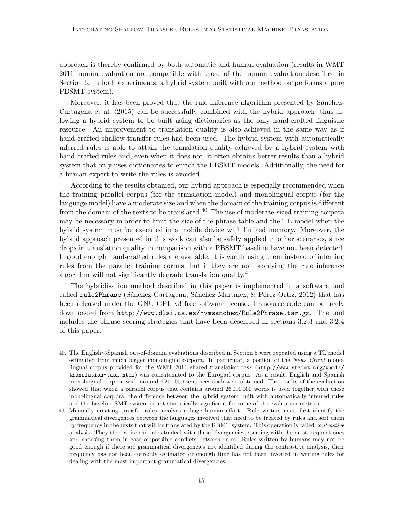approach is thereby confirmed by both automatic and human evaluation (results in WMT 2011 human evaluation are compatible with those of the human evaluation described in Section 6: in both experiments, a hybrid system built with our method outperforms a pure PBSMT system).

Moreover, it has been proved that the rule inference algorithm presented by Sánchez-Cartagena et al. (2015) can be successfully combined with the hybrid approach, thus allowing a hybrid system to be built using dictionaries as the only hand-crafted linguistic resource. An improvement to translation quality is also achieved in the same way as if hand-crafted shallow-transfer rules had been used. The hybrid system with automatically inferred rules is able to attain the translation quality achieved by a hybrid system with hand-crafted rules and, even when it does not, it often obtains better results than a hybrid system that only uses dictionaries to enrich the PBSMT models. Additionally, the need for a human expert to write the rules is avoided.

According to the results obtained, our hybrid approach is especially recommended when the training parallel corpus (for the translation model) and monolingual corpus (for the language model) have a moderate size and when the domain of the training corpus is different from the domain of the texts to be translated.<sup>40</sup> The use of moderate-sized training corpora may be necessary in order to limit the size of the phrase table and the TL model when the hybrid system must be executed in a mobile device with limited memory. Moreover, the hybrid approach presented in this work can also be safely applied in other scenarios, since drops in translation quality in comparison with a PBSMT baseline have not been detected. If good enough hand-crafted rules are available, it is worth using them instead of inferring rules from the parallel training corpus, but if they are not, applying the rule inference algorithm will not significantly degrade translation quality.<sup>41</sup>

The hybridisation method described in this paper is implemented in a software tool called rule2Phrase (Sánchez-Cartagena, Sánchez-Martínez, & Pérez-Ortiz, 2012) that has been released under the GNU GPL v3 free software license. Its source code can be freely downloaded from http://www.dlsi.ua.es/~vmsanchez/Rule2Phrase.tar.gz. The tool includes the phrase scoring strategies that have been described in sections 3.2.3 and 3.2.4 of this paper.

<sup>40.</sup> The English↔Spanish out-of-domain evaluations described in Section 5 were repeated using a TL model estimated from much bigger monolingual corpora. In particular, a portion of the News Crawl monolingual corpus provided for the WMT 2011 shared translation task (http://www.statmt.org/wmt11/ translation-task.html) was concatenated to the Europarl corpus. As a result, English and Spanish monolingual corpora with around 6 200 000 sentences each were obtained. The results of the evaluation showed that when a parallel corpus that contains around 26 000 000 words is used together with these monolingual corpora, the difference between the hybrid system built with automatically inferred rules and the baseline SMT system is not statistically significant for some of the evaluation metrics.

<sup>41.</sup> Manually creating transfer rules involves a huge human effort. Rule writers must first identify the grammatical divergences between the languages involved that need to be treated by rules and sort them by frequency in the texts that will be translated by the RBMT system. This operation is called contrastive analysis. They then write the rules to deal with these divergencies, starting with the most frequent ones and choosing them in case of possible conflicts between rules. Rules written by humans may not be good enough if there are grammatical divergencies not identified during the contrastive analysis, their frequency has not been correctly estimated or enough time has not been invested in writing rules for dealing with the most important grammatical divergencies.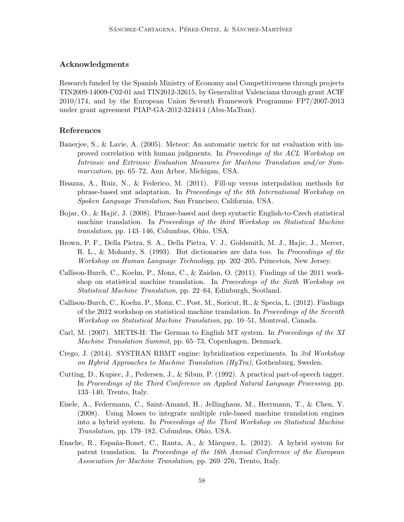# Acknowledgments

Research funded by the Spanish Ministry of Economy and Competitiveness through projects TIN2009-14009-C02-01 and TIN2012-32615, by Generalitat Valenciana through grant ACIF 2010/174, and by the European Union Seventh Framework Programme FP7/2007-2013 under grant agreement PIAP-GA-2012-324414 (Abu-MaTran).

# References

- Banerjee, S., & Lavie, A. (2005). Meteor: An automatic metric for mt evaluation with improved correlation with human judgments. In Proceedings of the ACL Workshop on Intrinsic and Extrinsic Evaluation Measures for Machine Translation and/or Summarization, pp. 65–72, Ann Arbor, Michigan, USA.
- Bisazza, A., Ruiz, N., & Federico, M. (2011). Fill-up versus interpolation methods for phrase-based smt adaptation. In Proceedings of the 8th International Workshop on Spoken Language Translation, San Francisco, California, USA.
- Bojar, O., & Hajič, J. (2008). Phrase-based and deep syntactic English-to-Czech statistical machine translation. In Proceedings of the third Workshop on Statistical Machine translation, pp. 143–146, Columbus, Ohio, USA.
- Brown, P. F., Della Pietra, S. A., Della Pietra, V. J., Goldsmith, M. J., Hajic, J., Mercer, R. L., & Mohanty, S. (1993). But dictionaries are data too. In Proceedings of the Workshop on Human Language Technology, pp. 202–205, Princeton, New Jersey.
- Callison-Burch, C., Koehn, P., Monz, C., & Zaidan, O. (2011). Findings of the 2011 workshop on statistical machine translation. In Proceedings of the Sixth Workshop on Statistical Machine Translation, pp. 22–64, Edinburgh, Scotland.
- Callison-Burch, C., Koehn, P., Monz, C., Post, M., Soricut, R., & Specia, L. (2012). Findings of the 2012 workshop on statistical machine translation. In Proceedings of the Seventh Workshop on Statistical Machine Translation, pp. 10–51, Montreal, Canada.
- Carl, M. (2007). METIS-II: The German to English MT system. In Proceedings of the XI Machine Translation Summit, pp. 65–73, Copenhagen, Denmark.
- Crego, J. (2014). SYSTRAN RBMT engine: hybridization experiments. In 3rd Workshop on Hybrid Approaches to Machine Translation (HyTra), Gothenburg, Sweden.
- Cutting, D., Kupiec, J., Pedersen, J., & Sibun, P. (1992). A practical part-of-speech tagger. In Proceedings of the Third Conference on Applied Natural Language Processing, pp. 133–140, Trento, Italy.
- Eisele, A., Federmann, C., Saint-Amand, H., Jellinghaus, M., Herrmann, T., & Chen, Y. (2008). Using Moses to integrate multiple rule-based machine translation engines into a hybrid system. In Proceedings of the Third Workshop on Statistical Machine Translation, pp. 179–182, Columbus, Ohio, USA.
- Enache, R., España-Bonet, C., Ranta, A., & Màrquez, L. (2012). A hybrid system for patent translation. In Proceedings of the 16th Annual Conference of the European Association for Machine Translation, pp. 269–276, Trento, Italy.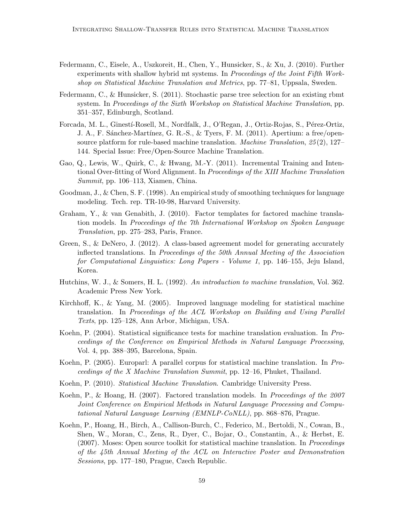- Federmann, C., Eisele, A., Uszkoreit, H., Chen, Y., Hunsicker, S., & Xu, J. (2010). Further experiments with shallow hybrid mt systems. In *Proceedings of the Joint Fifth Work*shop on Statistical Machine Translation and Metrics, pp. 77–81, Uppsala, Sweden.
- Federmann, C., & Hunsicker, S. (2011). Stochastic parse tree selection for an existing rbmt system. In Proceedings of the Sixth Workshop on Statistical Machine Translation, pp. 351–357, Edinburgh, Scotland.
- Forcada, M. L., Ginestí-Rosell, M., Nordfalk, J., O'Regan, J., Ortiz-Rojas, S., Pérez-Ortiz, J. A., F. Sánchez-Martínez, G. R.-S., & Tyers, F. M. (2011). Apertium: a free/opensource platform for rule-based machine translation. Machine Translation, 25 (2), 127– 144. Special Issue: Free/Open-Source Machine Translation.
- Gao, Q., Lewis, W., Quirk, C., & Hwang, M.-Y. (2011). Incremental Training and Intentional Over-fitting of Word Alignment. In Proceedings of the XIII Machine Translation Summit, pp. 106–113, Xiamen, China.
- Goodman, J., & Chen, S. F. (1998). An empirical study of smoothing techniques for language modeling. Tech. rep. TR-10-98, Harvard University.
- Graham, Y., & van Genabith, J. (2010). Factor templates for factored machine translation models. In Proceedings of the 7th International Workshop on Spoken Language Translation, pp. 275–283, Paris, France.
- Green, S., & DeNero, J. (2012). A class-based agreement model for generating accurately inflected translations. In Proceedings of the 50th Annual Meeting of the Association for Computational Linguistics: Long Papers - Volume 1, pp. 146–155, Jeju Island, Korea.
- Hutchins, W. J., & Somers, H. L. (1992). An introduction to machine translation, Vol. 362. Academic Press New York.
- Kirchhoff, K., & Yang, M. (2005). Improved language modeling for statistical machine translation. In Proceedings of the ACL Workshop on Building and Using Parallel Texts, pp. 125–128, Ann Arbor, Michigan, USA.
- Koehn, P. (2004). Statistical significance tests for machine translation evaluation. In Proceedings of the Conference on Empirical Methods in Natural Language Processing, Vol. 4, pp. 388–395, Barcelona, Spain.
- Koehn, P. (2005). Europarl: A parallel corpus for statistical machine translation. In Proceedings of the X Machine Translation Summit, pp.  $12-16$ , Phuket, Thailand.
- Koehn, P. (2010). Statistical Machine Translation. Cambridge University Press.
- Koehn, P., & Hoang, H. (2007). Factored translation models. In Proceedings of the 2007 Joint Conference on Empirical Methods in Natural Language Processing and Computational Natural Language Learning (EMNLP-CoNLL), pp. 868–876, Prague.
- Koehn, P., Hoang, H., Birch, A., Callison-Burch, C., Federico, M., Bertoldi, N., Cowan, B., Shen, W., Moran, C., Zens, R., Dyer, C., Bojar, O., Constantin, A., & Herbst, E. (2007). Moses: Open source toolkit for statistical machine translation. In Proceedings of the 45th Annual Meeting of the ACL on Interactive Poster and Demonstration Sessions, pp. 177–180, Prague, Czech Republic.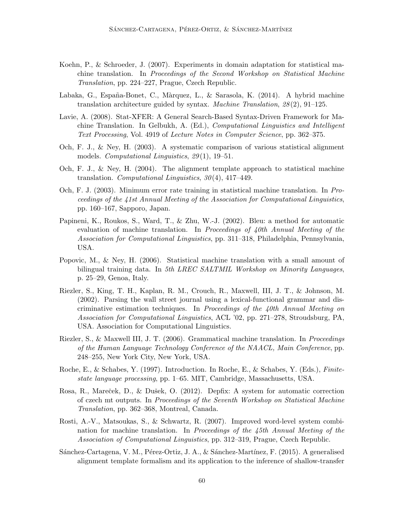- Koehn, P., & Schroeder, J. (2007). Experiments in domain adaptation for statistical machine translation. In Proceedings of the Second Workshop on Statistical Machine Translation, pp. 224–227, Prague, Czech Republic.
- Labaka, G., España-Bonet, C., Màrquez, L., & Sarasola, K. (2014). A hybrid machine translation architecture guided by syntax. *Machine Translation*,  $28(2)$ ,  $91-125$ .
- Lavie, A. (2008). Stat-XFER: A General Search-Based Syntax-Driven Framework for Machine Translation. In Gelbukh, A. (Ed.), Computational Linguistics and Intelligent Text Processing, Vol. 4919 of Lecture Notes in Computer Science, pp. 362–375.
- Och, F. J., & Ney, H. (2003). A systematic comparison of various statistical alignment models. *Computational Linguistics*, 29(1), 19–51.
- Och, F. J., & Ney, H. (2004). The alignment template approach to statistical machine translation. Computational Linguistics,  $30(4)$ ,  $417-449$ .
- Och, F. J. (2003). Minimum error rate training in statistical machine translation. In Proceedings of the 41st Annual Meeting of the Association for Computational Linguistics, pp. 160–167, Sapporo, Japan.
- Papineni, K., Roukos, S., Ward, T., & Zhu, W.-J. (2002). Bleu: a method for automatic evaluation of machine translation. In Proceedings of 40th Annual Meeting of the Association for Computational Linguistics, pp. 311–318, Philadelphia, Pennsylvania, USA.
- Popovic, M., & Ney, H. (2006). Statistical machine translation with a small amount of bilingual training data. In 5th LREC SALTMIL Workshop on Minority Languages, p. 25–29, Genoa, Italy.
- Riezler, S., King, T. H., Kaplan, R. M., Crouch, R., Maxwell, III, J. T., & Johnson, M. (2002). Parsing the wall street journal using a lexical-functional grammar and discriminative estimation techniques. In Proceedings of the 40th Annual Meeting on Association for Computational Linguistics, ACL '02, pp. 271–278, Stroudsburg, PA, USA. Association for Computational Linguistics.
- Riezler, S., & Maxwell III, J. T. (2006). Grammatical machine translation. In Proceedings of the Human Language Technology Conference of the NAACL, Main Conference, pp. 248–255, New York City, New York, USA.
- Roche, E., & Schabes, Y. (1997). Introduction. In Roche, E., & Schabes, Y. (Eds.), Finitestate language processing, pp. 1–65. MIT, Cambridge, Massachusetts, USA.
- Rosa, R., Mareček, D., & Dušek, O. (2012). Depfix: A system for automatic correction of czech mt outputs. In Proceedings of the Seventh Workshop on Statistical Machine Translation, pp. 362–368, Montreal, Canada.
- Rosti, A.-V., Matsoukas, S., & Schwartz, R. (2007). Improved word-level system combination for machine translation. In Proceedings of the 45th Annual Meeting of the Association of Computational Linguistics, pp. 312–319, Prague, Czech Republic.
- Sánchez-Cartagena, V. M., Pérez-Ortiz, J. A., & Sánchez-Martínez, F. (2015). A generalised alignment template formalism and its application to the inference of shallow-transfer